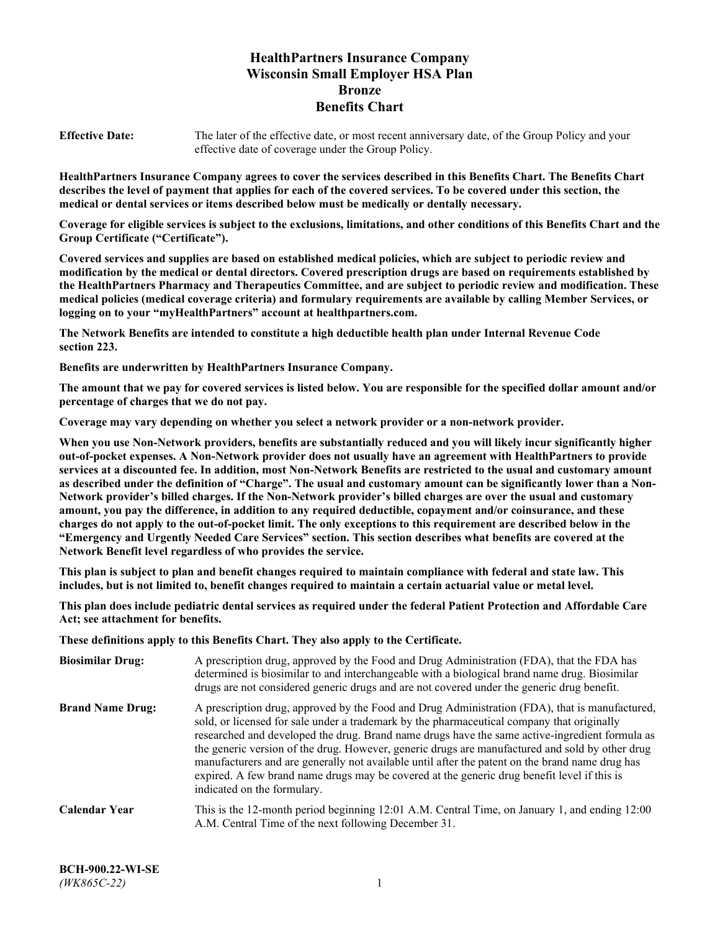# **HealthPartners Insurance Company Wisconsin Small Employer HSA Plan Bronze Benefits Chart**

**Effective Date:** The later of the effective date, or most recent anniversary date, of the Group Policy and your effective date of coverage under the Group Policy.

**HealthPartners Insurance Company agrees to cover the services described in this Benefits Chart. The Benefits Chart describes the level of payment that applies for each of the covered services. To be covered under this section, the medical or dental services or items described below must be medically or dentally necessary.**

**Coverage for eligible services is subject to the exclusions, limitations, and other conditions of this Benefits Chart and the Group Certificate ("Certificate").**

**Covered services and supplies are based on established medical policies, which are subject to periodic review and modification by the medical or dental directors. Covered prescription drugs are based on requirements established by the HealthPartners Pharmacy and Therapeutics Committee, and are subject to periodic review and modification. These medical policies (medical coverage criteria) and formulary requirements are available by calling Member Services, or logging on to your "myHealthPartners" account at [healthpartners.com.](https://www.healthpartners.com/hp/index.html)**

**The Network Benefits are intended to constitute a high deductible health plan under Internal Revenue Code section 223.**

**Benefits are underwritten by HealthPartners Insurance Company.**

**The amount that we pay for covered services is listed below. You are responsible for the specified dollar amount and/or percentage of charges that we do not pay.**

**Coverage may vary depending on whether you select a network provider or a non-network provider.**

**When you use Non-Network providers, benefits are substantially reduced and you will likely incur significantly higher out-of-pocket expenses. A Non-Network provider does not usually have an agreement with HealthPartners to provide services at a discounted fee. In addition, most Non-Network Benefits are restricted to the usual and customary amount as described under the definition of "Charge". The usual and customary amount can be significantly lower than a Non-Network provider's billed charges. If the Non-Network provider's billed charges are over the usual and customary amount, you pay the difference, in addition to any required deductible, copayment and/or coinsurance, and these charges do not apply to the out-of-pocket limit. The only exceptions to this requirement are described below in the "Emergency and Urgently Needed Care Services" section. This section describes what benefits are covered at the Network Benefit level regardless of who provides the service.**

**This plan is subject to plan and benefit changes required to maintain compliance with federal and state law. This includes, but is not limited to, benefit changes required to maintain a certain actuarial value or metal level.**

**This plan does include pediatric dental services as required under the federal Patient Protection and Affordable Care Act; see attachment for benefits.**

**These definitions apply to this Benefits Chart. They also apply to the Certificate.**

| <b>Biosimilar Drug:</b> | A prescription drug, approved by the Food and Drug Administration (FDA), that the FDA has<br>determined is biosimilar to and interchangeable with a biological brand name drug. Biosimilar<br>drugs are not considered generic drugs and are not covered under the generic drug benefit.                                                                                                                                                                                                                                                                                                                                           |
|-------------------------|------------------------------------------------------------------------------------------------------------------------------------------------------------------------------------------------------------------------------------------------------------------------------------------------------------------------------------------------------------------------------------------------------------------------------------------------------------------------------------------------------------------------------------------------------------------------------------------------------------------------------------|
| <b>Brand Name Drug:</b> | A prescription drug, approved by the Food and Drug Administration (FDA), that is manufactured,<br>sold, or licensed for sale under a trademark by the pharmaceutical company that originally<br>researched and developed the drug. Brand name drugs have the same active-ingredient formula as<br>the generic version of the drug. However, generic drugs are manufactured and sold by other drug<br>manufacturers and are generally not available until after the patent on the brand name drug has<br>expired. A few brand name drugs may be covered at the generic drug benefit level if this is<br>indicated on the formulary. |
| <b>Calendar Year</b>    | This is the 12-month period beginning 12:01 A.M. Central Time, on January 1, and ending 12:00<br>A.M. Central Time of the next following December 31.                                                                                                                                                                                                                                                                                                                                                                                                                                                                              |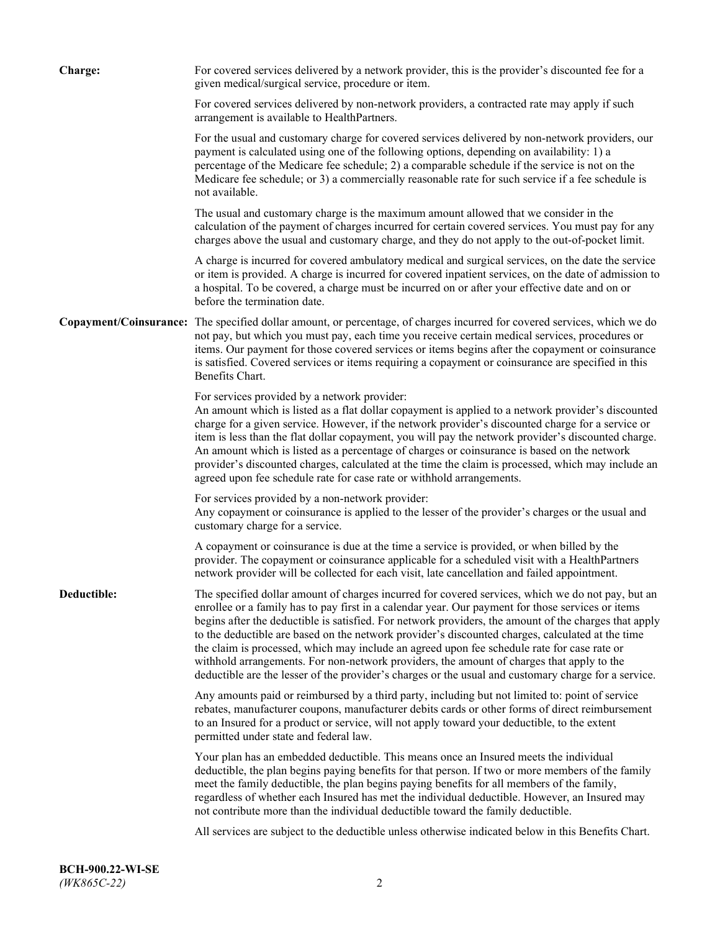| <b>Charge:</b> | For covered services delivered by a network provider, this is the provider's discounted fee for a<br>given medical/surgical service, procedure or item.                                                                                                                                                                                                                                                                                                                                                                                                                                                                                                                                                                 |
|----------------|-------------------------------------------------------------------------------------------------------------------------------------------------------------------------------------------------------------------------------------------------------------------------------------------------------------------------------------------------------------------------------------------------------------------------------------------------------------------------------------------------------------------------------------------------------------------------------------------------------------------------------------------------------------------------------------------------------------------------|
|                | For covered services delivered by non-network providers, a contracted rate may apply if such<br>arrangement is available to HealthPartners.                                                                                                                                                                                                                                                                                                                                                                                                                                                                                                                                                                             |
|                | For the usual and customary charge for covered services delivered by non-network providers, our<br>payment is calculated using one of the following options, depending on availability: 1) a<br>percentage of the Medicare fee schedule; 2) a comparable schedule if the service is not on the<br>Medicare fee schedule; or 3) a commercially reasonable rate for such service if a fee schedule is<br>not available.                                                                                                                                                                                                                                                                                                   |
|                | The usual and customary charge is the maximum amount allowed that we consider in the<br>calculation of the payment of charges incurred for certain covered services. You must pay for any<br>charges above the usual and customary charge, and they do not apply to the out-of-pocket limit.                                                                                                                                                                                                                                                                                                                                                                                                                            |
|                | A charge is incurred for covered ambulatory medical and surgical services, on the date the service<br>or item is provided. A charge is incurred for covered inpatient services, on the date of admission to<br>a hospital. To be covered, a charge must be incurred on or after your effective date and on or<br>before the termination date.                                                                                                                                                                                                                                                                                                                                                                           |
|                | Copayment/Coinsurance: The specified dollar amount, or percentage, of charges incurred for covered services, which we do<br>not pay, but which you must pay, each time you receive certain medical services, procedures or<br>items. Our payment for those covered services or items begins after the copayment or coinsurance<br>is satisfied. Covered services or items requiring a copayment or coinsurance are specified in this<br>Benefits Chart.                                                                                                                                                                                                                                                                 |
|                | For services provided by a network provider:<br>An amount which is listed as a flat dollar copayment is applied to a network provider's discounted<br>charge for a given service. However, if the network provider's discounted charge for a service or<br>item is less than the flat dollar copayment, you will pay the network provider's discounted charge.<br>An amount which is listed as a percentage of charges or coinsurance is based on the network<br>provider's discounted charges, calculated at the time the claim is processed, which may include an<br>agreed upon fee schedule rate for case rate or withhold arrangements.                                                                            |
|                | For services provided by a non-network provider:<br>Any copayment or coinsurance is applied to the lesser of the provider's charges or the usual and<br>customary charge for a service.                                                                                                                                                                                                                                                                                                                                                                                                                                                                                                                                 |
|                | A copayment or coinsurance is due at the time a service is provided, or when billed by the<br>provider. The copayment or coinsurance applicable for a scheduled visit with a HealthPartners<br>network provider will be collected for each visit, late cancellation and failed appointment.                                                                                                                                                                                                                                                                                                                                                                                                                             |
| Deductible:    | The specified dollar amount of charges incurred for covered services, which we do not pay, but an<br>enrollee or a family has to pay first in a calendar year. Our payment for those services or items<br>begins after the deductible is satisfied. For network providers, the amount of the charges that apply<br>to the deductible are based on the network provider's discounted charges, calculated at the time<br>the claim is processed, which may include an agreed upon fee schedule rate for case rate or<br>withhold arrangements. For non-network providers, the amount of charges that apply to the<br>deductible are the lesser of the provider's charges or the usual and customary charge for a service. |
|                | Any amounts paid or reimbursed by a third party, including but not limited to: point of service<br>rebates, manufacturer coupons, manufacturer debits cards or other forms of direct reimbursement<br>to an Insured for a product or service, will not apply toward your deductible, to the extent<br>permitted under state and federal law.                                                                                                                                                                                                                                                                                                                                                                            |
|                | Your plan has an embedded deductible. This means once an Insured meets the individual<br>deductible, the plan begins paying benefits for that person. If two or more members of the family<br>meet the family deductible, the plan begins paying benefits for all members of the family,<br>regardless of whether each Insured has met the individual deductible. However, an Insured may<br>not contribute more than the individual deductible toward the family deductible.                                                                                                                                                                                                                                           |
|                | All services are subject to the deductible unless otherwise indicated below in this Benefits Chart.                                                                                                                                                                                                                                                                                                                                                                                                                                                                                                                                                                                                                     |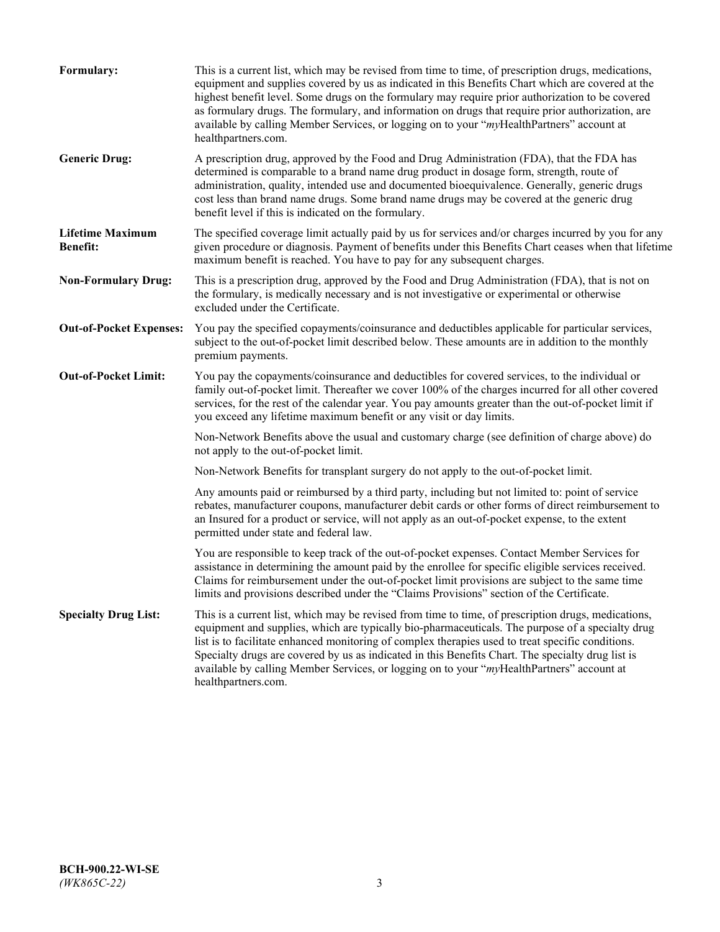| Formulary:                                 | This is a current list, which may be revised from time to time, of prescription drugs, medications,<br>equipment and supplies covered by us as indicated in this Benefits Chart which are covered at the<br>highest benefit level. Some drugs on the formulary may require prior authorization to be covered<br>as formulary drugs. The formulary, and information on drugs that require prior authorization, are<br>available by calling Member Services, or logging on to your "myHealthPartners" account at<br>healthpartners.com. |
|--------------------------------------------|---------------------------------------------------------------------------------------------------------------------------------------------------------------------------------------------------------------------------------------------------------------------------------------------------------------------------------------------------------------------------------------------------------------------------------------------------------------------------------------------------------------------------------------|
| <b>Generic Drug:</b>                       | A prescription drug, approved by the Food and Drug Administration (FDA), that the FDA has<br>determined is comparable to a brand name drug product in dosage form, strength, route of<br>administration, quality, intended use and documented bioequivalence. Generally, generic drugs<br>cost less than brand name drugs. Some brand name drugs may be covered at the generic drug<br>benefit level if this is indicated on the formulary.                                                                                           |
| <b>Lifetime Maximum</b><br><b>Benefit:</b> | The specified coverage limit actually paid by us for services and/or charges incurred by you for any<br>given procedure or diagnosis. Payment of benefits under this Benefits Chart ceases when that lifetime<br>maximum benefit is reached. You have to pay for any subsequent charges.                                                                                                                                                                                                                                              |
| <b>Non-Formulary Drug:</b>                 | This is a prescription drug, approved by the Food and Drug Administration (FDA), that is not on<br>the formulary, is medically necessary and is not investigative or experimental or otherwise<br>excluded under the Certificate.                                                                                                                                                                                                                                                                                                     |
| <b>Out-of-Pocket Expenses:</b>             | You pay the specified copayments/coinsurance and deductibles applicable for particular services,<br>subject to the out-of-pocket limit described below. These amounts are in addition to the monthly<br>premium payments.                                                                                                                                                                                                                                                                                                             |
| <b>Out-of-Pocket Limit:</b>                | You pay the copayments/coinsurance and deductibles for covered services, to the individual or<br>family out-of-pocket limit. Thereafter we cover 100% of the charges incurred for all other covered<br>services, for the rest of the calendar year. You pay amounts greater than the out-of-pocket limit if<br>you exceed any lifetime maximum benefit or any visit or day limits.                                                                                                                                                    |
|                                            | Non-Network Benefits above the usual and customary charge (see definition of charge above) do<br>not apply to the out-of-pocket limit.                                                                                                                                                                                                                                                                                                                                                                                                |
|                                            | Non-Network Benefits for transplant surgery do not apply to the out-of-pocket limit.                                                                                                                                                                                                                                                                                                                                                                                                                                                  |
|                                            | Any amounts paid or reimbursed by a third party, including but not limited to: point of service<br>rebates, manufacturer coupons, manufacturer debit cards or other forms of direct reimbursement to<br>an Insured for a product or service, will not apply as an out-of-pocket expense, to the extent<br>permitted under state and federal law.                                                                                                                                                                                      |
|                                            | You are responsible to keep track of the out-of-pocket expenses. Contact Member Services for<br>assistance in determining the amount paid by the enrollee for specific eligible services received.<br>Claims for reimbursement under the out-of-pocket limit provisions are subject to the same time<br>limits and provisions described under the "Claims Provisions" section of the Certificate.                                                                                                                                     |
| <b>Specialty Drug List:</b>                | This is a current list, which may be revised from time to time, of prescription drugs, medications,<br>equipment and supplies, which are typically bio-pharmaceuticals. The purpose of a specialty drug<br>list is to facilitate enhanced monitoring of complex therapies used to treat specific conditions.<br>Specialty drugs are covered by us as indicated in this Benefits Chart. The specialty drug list is<br>available by calling Member Services, or logging on to your "myHealthPartners" account at<br>healthpartners.com. |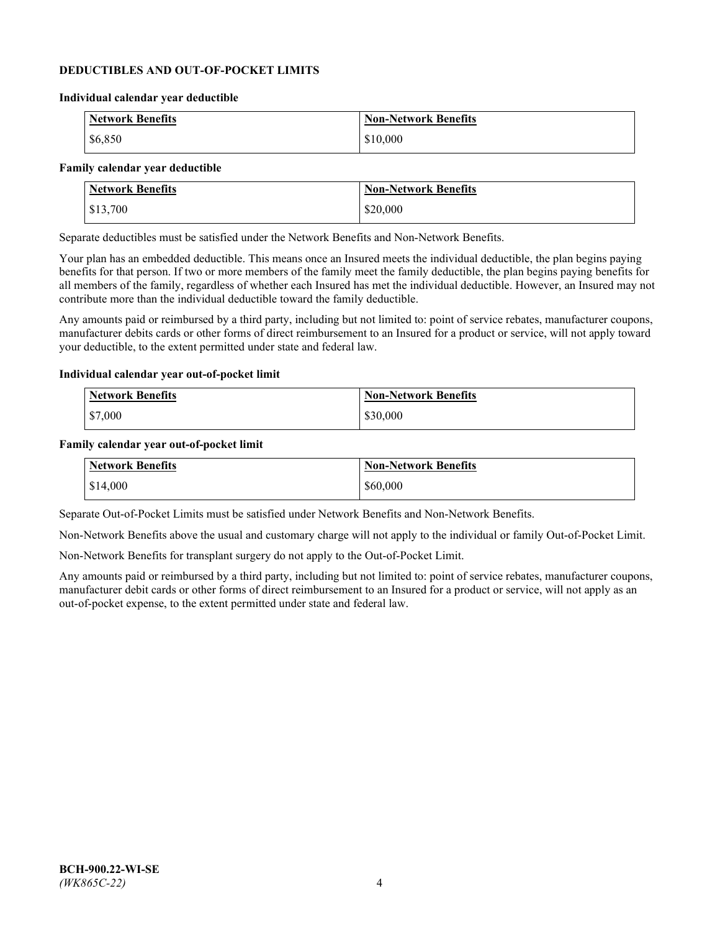## **DEDUCTIBLES AND OUT-OF-POCKET LIMITS**

#### **Individual calendar year deductible**

| <b>Network Benefits</b> | <b>Non-Network Benefits</b> |
|-------------------------|-----------------------------|
| \$6,850                 | \$10,000                    |

#### **Family calendar year deductible**

| <b>Network Benefits</b> | <b>Non-Network Benefits</b> |
|-------------------------|-----------------------------|
| \$13,700                | \$20,000                    |

Separate deductibles must be satisfied under the Network Benefits and Non-Network Benefits.

Your plan has an embedded deductible. This means once an Insured meets the individual deductible, the plan begins paying benefits for that person. If two or more members of the family meet the family deductible, the plan begins paying benefits for all members of the family, regardless of whether each Insured has met the individual deductible. However, an Insured may not contribute more than the individual deductible toward the family deductible.

Any amounts paid or reimbursed by a third party, including but not limited to: point of service rebates, manufacturer coupons, manufacturer debits cards or other forms of direct reimbursement to an Insured for a product or service, will not apply toward your deductible, to the extent permitted under state and federal law.

### **Individual calendar year out-of-pocket limit**

| Network Benefits | <b>Non-Network Benefits</b> |
|------------------|-----------------------------|
| \$7,000          | \$30,000                    |

#### **Family calendar year out-of-pocket limit**

| <b>Network Benefits</b> | <b>Non-Network Benefits</b> |
|-------------------------|-----------------------------|
| \$14,000                | \$60,000                    |

Separate Out-of-Pocket Limits must be satisfied under Network Benefits and Non-Network Benefits.

Non-Network Benefits above the usual and customary charge will not apply to the individual or family Out-of-Pocket Limit.

Non-Network Benefits for transplant surgery do not apply to the Out-of-Pocket Limit.

Any amounts paid or reimbursed by a third party, including but not limited to: point of service rebates, manufacturer coupons, manufacturer debit cards or other forms of direct reimbursement to an Insured for a product or service, will not apply as an out-of-pocket expense, to the extent permitted under state and federal law.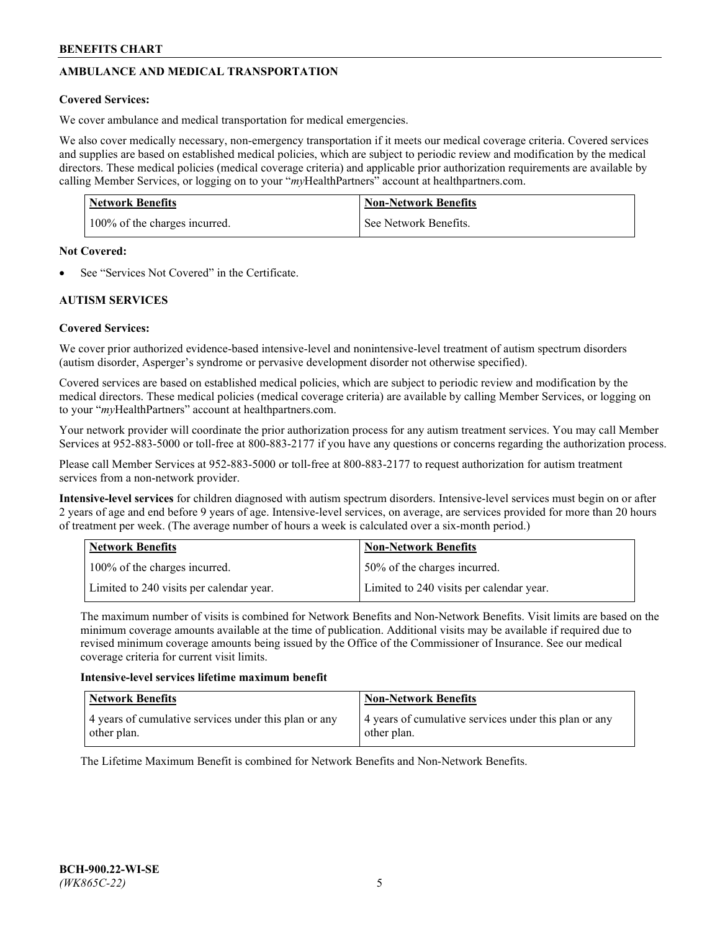# **AMBULANCE AND MEDICAL TRANSPORTATION**

# **Covered Services:**

We cover ambulance and medical transportation for medical emergencies.

We also cover medically necessary, non-emergency transportation if it meets our medical coverage criteria. Covered services and supplies are based on established medical policies, which are subject to periodic review and modification by the medical directors. These medical policies (medical coverage criteria) and applicable prior authorization requirements are available by calling Member Services, or logging on to your "*my*HealthPartners" account a[t healthpartners.com.](https://www.healthpartners.com/hp/index.html)

| <b>Network Benefits</b>       | <b>Non-Network Benefits</b> |
|-------------------------------|-----------------------------|
| 100% of the charges incurred. | See Network Benefits.       |

## **Not Covered:**

See "Services Not Covered" in the Certificate.

# **AUTISM SERVICES**

# **Covered Services:**

We cover prior authorized evidence-based intensive-level and nonintensive-level treatment of autism spectrum disorders (autism disorder, Asperger's syndrome or pervasive development disorder not otherwise specified).

Covered services are based on established medical policies, which are subject to periodic review and modification by the medical directors. These medical policies (medical coverage criteria) are available by calling Member Services, or logging on to your "*my*HealthPartners" account at [healthpartners.com.](https://www.healthpartners.com/hp/index.html)

Your network provider will coordinate the prior authorization process for any autism treatment services. You may call Member Services at 952-883-5000 or toll-free at 800-883-2177 if you have any questions or concerns regarding the authorization process.

Please call Member Services at 952-883-5000 or toll-free at 800-883-2177 to request authorization for autism treatment services from a non-network provider.

**Intensive-level services** for children diagnosed with autism spectrum disorders. Intensive-level services must begin on or after 2 years of age and end before 9 years of age. Intensive-level services, on average, are services provided for more than 20 hours of treatment per week. (The average number of hours a week is calculated over a six-month period.)

| Network Benefits                         | <b>Non-Network Benefits</b>              |
|------------------------------------------|------------------------------------------|
| 100% of the charges incurred.            | 50% of the charges incurred.             |
| Limited to 240 visits per calendar year. | Limited to 240 visits per calendar year. |

The maximum number of visits is combined for Network Benefits and Non-Network Benefits. Visit limits are based on the minimum coverage amounts available at the time of publication. Additional visits may be available if required due to revised minimum coverage amounts being issued by the Office of the Commissioner of Insurance. See our medical coverage criteria for current visit limits.

## **Intensive-level services lifetime maximum benefit**

| Network Benefits                                                     | <b>Non-Network Benefits</b>                                          |
|----------------------------------------------------------------------|----------------------------------------------------------------------|
| 4 years of cumulative services under this plan or any<br>other plan. | 4 years of cumulative services under this plan or any<br>other plan. |

The Lifetime Maximum Benefit is combined for Network Benefits and Non-Network Benefits.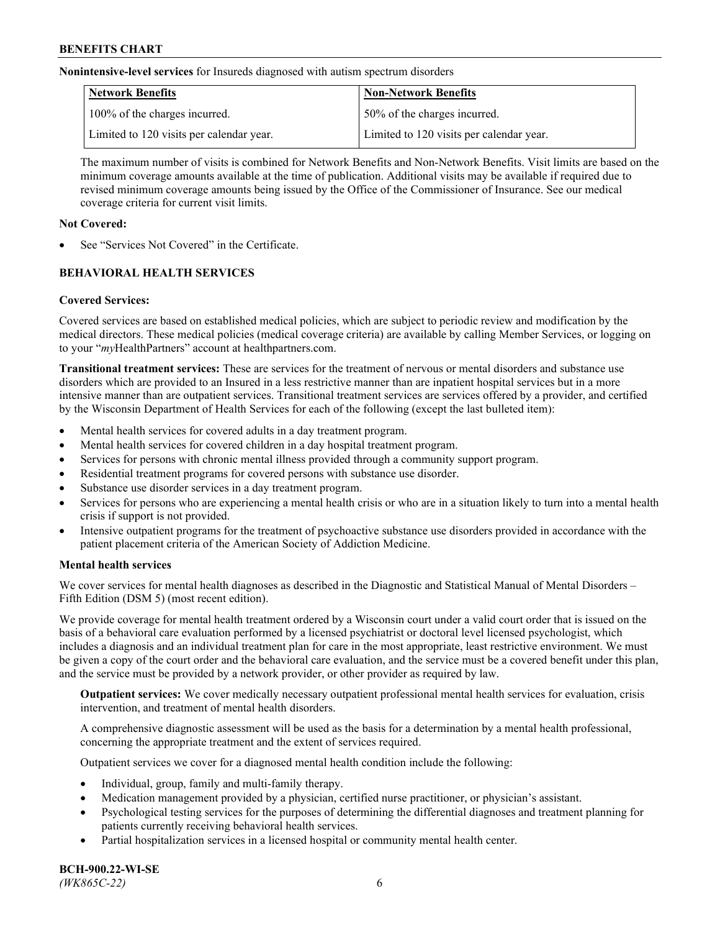**Nonintensive-level services** for Insureds diagnosed with autism spectrum disorders

| Network Benefits                         | <b>Non-Network Benefits</b>              |
|------------------------------------------|------------------------------------------|
| 100% of the charges incurred.            | 50% of the charges incurred.             |
| Limited to 120 visits per calendar year. | Limited to 120 visits per calendar year. |

The maximum number of visits is combined for Network Benefits and Non-Network Benefits. Visit limits are based on the minimum coverage amounts available at the time of publication. Additional visits may be available if required due to revised minimum coverage amounts being issued by the Office of the Commissioner of Insurance. See our medical coverage criteria for current visit limits.

## **Not Covered:**

See "Services Not Covered" in the Certificate.

# **BEHAVIORAL HEALTH SERVICES**

## **Covered Services:**

Covered services are based on established medical policies, which are subject to periodic review and modification by the medical directors. These medical policies (medical coverage criteria) are available by calling Member Services, or logging on to your "*my*HealthPartners" account at [healthpartners.com.](https://www.healthpartners.com/hp/index.html)

**Transitional treatment services:** These are services for the treatment of nervous or mental disorders and substance use disorders which are provided to an Insured in a less restrictive manner than are inpatient hospital services but in a more intensive manner than are outpatient services. Transitional treatment services are services offered by a provider, and certified by the Wisconsin Department of Health Services for each of the following (except the last bulleted item):

- Mental health services for covered adults in a day treatment program.
- Mental health services for covered children in a day hospital treatment program.
- Services for persons with chronic mental illness provided through a community support program.
- Residential treatment programs for covered persons with substance use disorder.
- Substance use disorder services in a day treatment program.
- Services for persons who are experiencing a mental health crisis or who are in a situation likely to turn into a mental health crisis if support is not provided.
- Intensive outpatient programs for the treatment of psychoactive substance use disorders provided in accordance with the patient placement criteria of the American Society of Addiction Medicine.

## **Mental health services**

We cover services for mental health diagnoses as described in the Diagnostic and Statistical Manual of Mental Disorders – Fifth Edition (DSM 5) (most recent edition).

We provide coverage for mental health treatment ordered by a Wisconsin court under a valid court order that is issued on the basis of a behavioral care evaluation performed by a licensed psychiatrist or doctoral level licensed psychologist, which includes a diagnosis and an individual treatment plan for care in the most appropriate, least restrictive environment. We must be given a copy of the court order and the behavioral care evaluation, and the service must be a covered benefit under this plan, and the service must be provided by a network provider, or other provider as required by law.

**Outpatient services:** We cover medically necessary outpatient professional mental health services for evaluation, crisis intervention, and treatment of mental health disorders.

A comprehensive diagnostic assessment will be used as the basis for a determination by a mental health professional, concerning the appropriate treatment and the extent of services required.

Outpatient services we cover for a diagnosed mental health condition include the following:

- Individual, group, family and multi-family therapy.
- Medication management provided by a physician, certified nurse practitioner, or physician's assistant.
- Psychological testing services for the purposes of determining the differential diagnoses and treatment planning for patients currently receiving behavioral health services.
- Partial hospitalization services in a licensed hospital or community mental health center.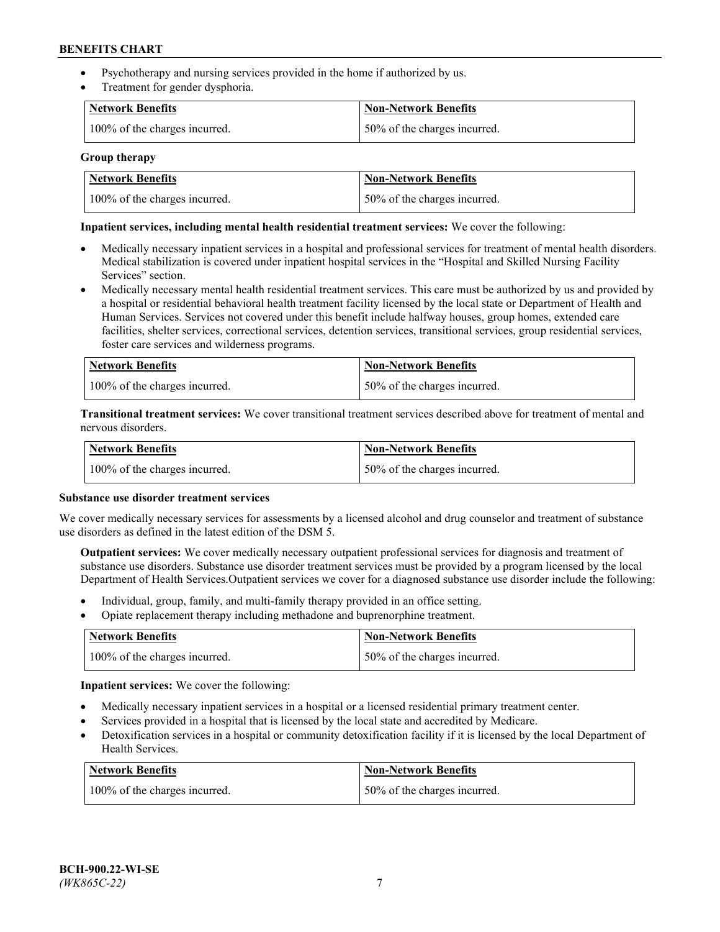- Psychotherapy and nursing services provided in the home if authorized by us.
- Treatment for gender dysphoria.

| <b>Network Benefits</b>       | <b>Non-Network Benefits</b>  |
|-------------------------------|------------------------------|
| 100% of the charges incurred. | 50% of the charges incurred. |

### **Group therapy**

| Network Benefits              | Non-Network Benefits          |
|-------------------------------|-------------------------------|
| 100% of the charges incurred. | 150% of the charges incurred. |

## **Inpatient services, including mental health residential treatment services:** We cover the following:

- Medically necessary inpatient services in a hospital and professional services for treatment of mental health disorders. Medical stabilization is covered under inpatient hospital services in the "Hospital and Skilled Nursing Facility Services" section.
- Medically necessary mental health residential treatment services. This care must be authorized by us and provided by a hospital or residential behavioral health treatment facility licensed by the local state or Department of Health and Human Services. Services not covered under this benefit include halfway houses, group homes, extended care facilities, shelter services, correctional services, detention services, transitional services, group residential services, foster care services and wilderness programs.

| Network Benefits              | Non-Network Benefits         |
|-------------------------------|------------------------------|
| 100% of the charges incurred. | 50% of the charges incurred. |

**Transitional treatment services:** We cover transitional treatment services described above for treatment of mental and nervous disorders.

| <b>Network Benefits</b>       | <b>Non-Network Benefits</b>  |
|-------------------------------|------------------------------|
| 100% of the charges incurred. | 50% of the charges incurred. |

#### **Substance use disorder treatment services**

We cover medically necessary services for assessments by a licensed alcohol and drug counselor and treatment of substance use disorders as defined in the latest edition of the DSM 5.

**Outpatient services:** We cover medically necessary outpatient professional services for diagnosis and treatment of substance use disorders. Substance use disorder treatment services must be provided by a program licensed by the local Department of Health Services.Outpatient services we cover for a diagnosed substance use disorder include the following:

- Individual, group, family, and multi-family therapy provided in an office setting.
- Opiate replacement therapy including methadone and buprenorphine treatment.

| Network Benefits              | Non-Network Benefits         |
|-------------------------------|------------------------------|
| 100% of the charges incurred. | 50% of the charges incurred. |

**Inpatient services:** We cover the following:

- Medically necessary inpatient services in a hospital or a licensed residential primary treatment center.
- Services provided in a hospital that is licensed by the local state and accredited by Medicare.
- Detoxification services in a hospital or community detoxification facility if it is licensed by the local Department of Health Services.

| Network Benefits              | <b>Non-Network Benefits</b>  |
|-------------------------------|------------------------------|
| 100% of the charges incurred. | 50% of the charges incurred. |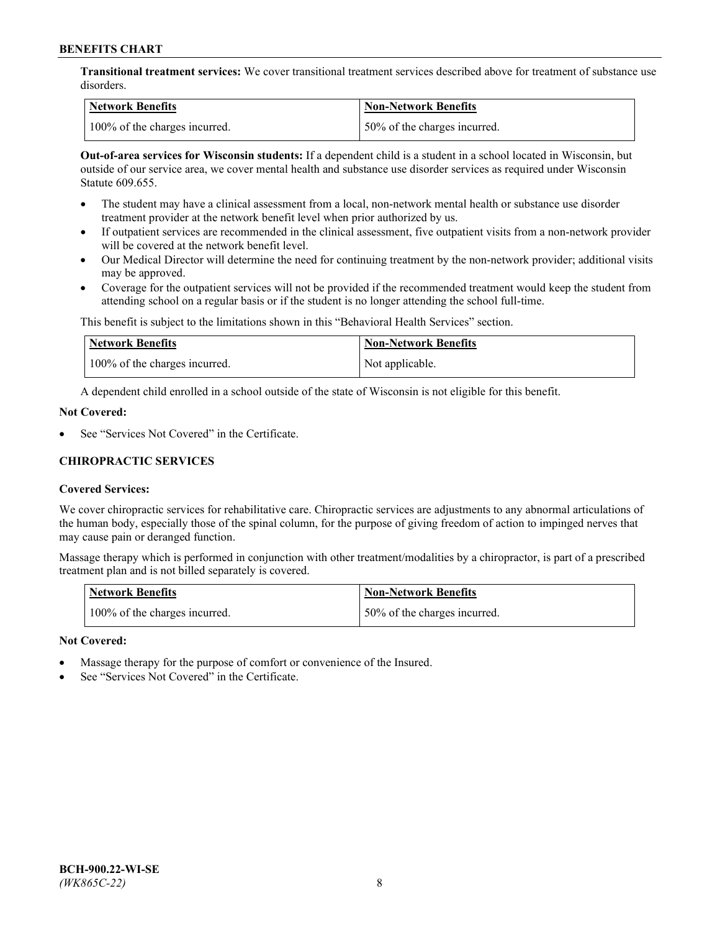**Transitional treatment services:** We cover transitional treatment services described above for treatment of substance use disorders.

| Network Benefits              | <b>Non-Network Benefits</b>   |
|-------------------------------|-------------------------------|
| 100% of the charges incurred. | 150% of the charges incurred. |

**Out-of-area services for Wisconsin students:** If a dependent child is a student in a school located in Wisconsin, but outside of our service area, we cover mental health and substance use disorder services as required under Wisconsin Statute 609.655.

- The student may have a clinical assessment from a local, non-network mental health or substance use disorder treatment provider at the network benefit level when prior authorized by us.
- If outpatient services are recommended in the clinical assessment, five outpatient visits from a non-network provider will be covered at the network benefit level.
- Our Medical Director will determine the need for continuing treatment by the non-network provider; additional visits may be approved.
- Coverage for the outpatient services will not be provided if the recommended treatment would keep the student from attending school on a regular basis or if the student is no longer attending the school full-time.

This benefit is subject to the limitations shown in this "Behavioral Health Services" section.

| Network Benefits              | <b>Non-Network Benefits</b> |
|-------------------------------|-----------------------------|
| 100% of the charges incurred. | Not applicable.             |

A dependent child enrolled in a school outside of the state of Wisconsin is not eligible for this benefit.

### **Not Covered:**

See "Services Not Covered" in the Certificate.

## **CHIROPRACTIC SERVICES**

## **Covered Services:**

We cover chiropractic services for rehabilitative care. Chiropractic services are adjustments to any abnormal articulations of the human body, especially those of the spinal column, for the purpose of giving freedom of action to impinged nerves that may cause pain or deranged function.

Massage therapy which is performed in conjunction with other treatment/modalities by a chiropractor, is part of a prescribed treatment plan and is not billed separately is covered.

| Network Benefits              | <b>Non-Network Benefits</b>   |
|-------------------------------|-------------------------------|
| 100% of the charges incurred. | 150% of the charges incurred. |

#### **Not Covered:**

- Massage therapy for the purpose of comfort or convenience of the Insured.
- See "Services Not Covered" in the Certificate.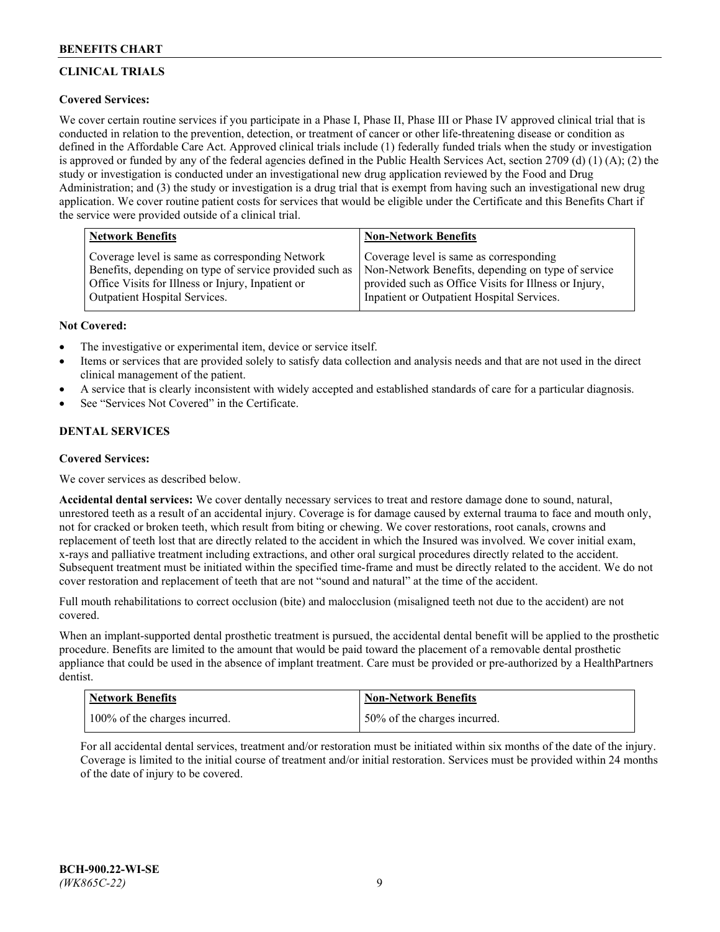# **CLINICAL TRIALS**

## **Covered Services:**

We cover certain routine services if you participate in a Phase I, Phase II, Phase III or Phase IV approved clinical trial that is conducted in relation to the prevention, detection, or treatment of cancer or other life-threatening disease or condition as defined in the Affordable Care Act. Approved clinical trials include (1) federally funded trials when the study or investigation is approved or funded by any of the federal agencies defined in the Public Health Services Act, section 2709 (d) (1) (A); (2) the study or investigation is conducted under an investigational new drug application reviewed by the Food and Drug Administration; and (3) the study or investigation is a drug trial that is exempt from having such an investigational new drug application. We cover routine patient costs for services that would be eligible under the Certificate and this Benefits Chart if the service were provided outside of a clinical trial.

| <b>Network Benefits</b>                                 | <b>Non-Network Benefits</b>                           |
|---------------------------------------------------------|-------------------------------------------------------|
| Coverage level is same as corresponding Network         | Coverage level is same as corresponding               |
| Benefits, depending on type of service provided such as | Non-Network Benefits, depending on type of service    |
| Office Visits for Illness or Injury, Inpatient or       | provided such as Office Visits for Illness or Injury, |
| Outpatient Hospital Services.                           | Inpatient or Outpatient Hospital Services.            |

### **Not Covered:**

- The investigative or experimental item, device or service itself.
- Items or services that are provided solely to satisfy data collection and analysis needs and that are not used in the direct clinical management of the patient.
- A service that is clearly inconsistent with widely accepted and established standards of care for a particular diagnosis.
- See "Services Not Covered" in the Certificate.

# **DENTAL SERVICES**

## **Covered Services:**

We cover services as described below.

**Accidental dental services:** We cover dentally necessary services to treat and restore damage done to sound, natural, unrestored teeth as a result of an accidental injury. Coverage is for damage caused by external trauma to face and mouth only, not for cracked or broken teeth, which result from biting or chewing. We cover restorations, root canals, crowns and replacement of teeth lost that are directly related to the accident in which the Insured was involved. We cover initial exam, x-rays and palliative treatment including extractions, and other oral surgical procedures directly related to the accident. Subsequent treatment must be initiated within the specified time-frame and must be directly related to the accident. We do not cover restoration and replacement of teeth that are not "sound and natural" at the time of the accident.

Full mouth rehabilitations to correct occlusion (bite) and malocclusion (misaligned teeth not due to the accident) are not covered.

When an implant-supported dental prosthetic treatment is pursued, the accidental dental benefit will be applied to the prosthetic procedure. Benefits are limited to the amount that would be paid toward the placement of a removable dental prosthetic appliance that could be used in the absence of implant treatment. Care must be provided or pre-authorized by a HealthPartners dentist.

| <b>Network Benefits</b>       | <b>Non-Network Benefits</b>  |
|-------------------------------|------------------------------|
| 100% of the charges incurred. | 50% of the charges incurred. |

For all accidental dental services, treatment and/or restoration must be initiated within six months of the date of the injury. Coverage is limited to the initial course of treatment and/or initial restoration. Services must be provided within 24 months of the date of injury to be covered.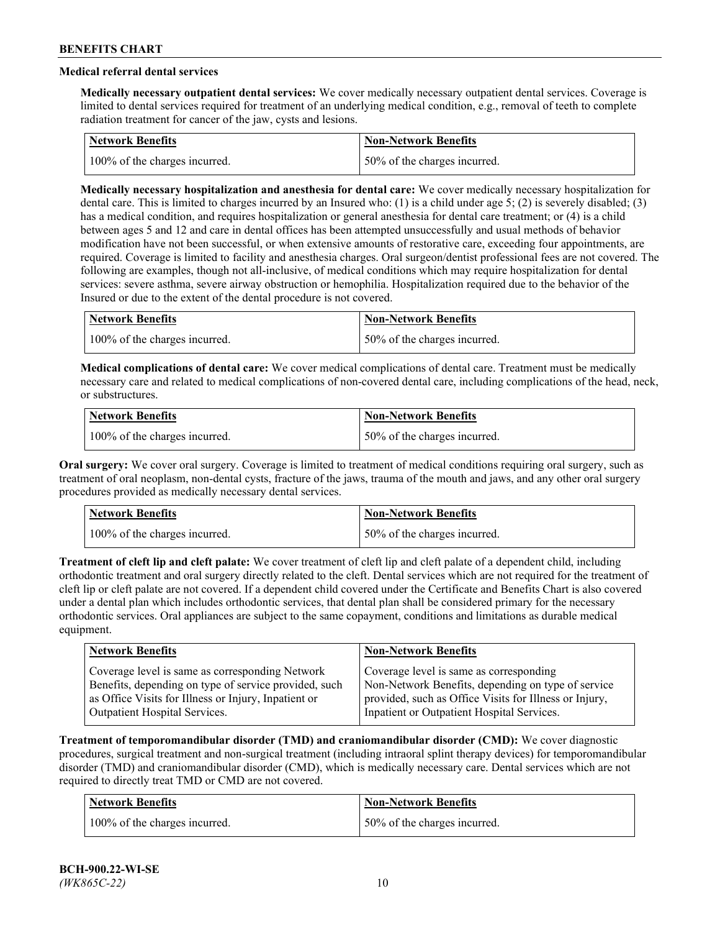# **Medical referral dental services**

**Medically necessary outpatient dental services:** We cover medically necessary outpatient dental services. Coverage is limited to dental services required for treatment of an underlying medical condition, e.g., removal of teeth to complete radiation treatment for cancer of the jaw, cysts and lesions.

| Network Benefits              | <b>Non-Network Benefits</b>  |
|-------------------------------|------------------------------|
| 100% of the charges incurred. | 50% of the charges incurred. |

**Medically necessary hospitalization and anesthesia for dental care:** We cover medically necessary hospitalization for dental care. This is limited to charges incurred by an Insured who: (1) is a child under age 5; (2) is severely disabled; (3) has a medical condition, and requires hospitalization or general anesthesia for dental care treatment; or (4) is a child between ages 5 and 12 and care in dental offices has been attempted unsuccessfully and usual methods of behavior modification have not been successful, or when extensive amounts of restorative care, exceeding four appointments, are required. Coverage is limited to facility and anesthesia charges. Oral surgeon/dentist professional fees are not covered. The following are examples, though not all-inclusive, of medical conditions which may require hospitalization for dental services: severe asthma, severe airway obstruction or hemophilia. Hospitalization required due to the behavior of the Insured or due to the extent of the dental procedure is not covered.

| Network Benefits              | <b>Non-Network Benefits</b>  |
|-------------------------------|------------------------------|
| 100% of the charges incurred. | 50% of the charges incurred. |

**Medical complications of dental care:** We cover medical complications of dental care. Treatment must be medically necessary care and related to medical complications of non-covered dental care, including complications of the head, neck, or substructures.

| Network Benefits              | Non-Network Benefits         |
|-------------------------------|------------------------------|
| 100% of the charges incurred. | 50% of the charges incurred. |

**Oral surgery:** We cover oral surgery. Coverage is limited to treatment of medical conditions requiring oral surgery, such as treatment of oral neoplasm, non-dental cysts, fracture of the jaws, trauma of the mouth and jaws, and any other oral surgery procedures provided as medically necessary dental services.

| <b>Network Benefits</b>       | <b>Non-Network Benefits</b>   |
|-------------------------------|-------------------------------|
| 100% of the charges incurred. | 150% of the charges incurred. |

**Treatment of cleft lip and cleft palate:** We cover treatment of cleft lip and cleft palate of a dependent child, including orthodontic treatment and oral surgery directly related to the cleft. Dental services which are not required for the treatment of cleft lip or cleft palate are not covered. If a dependent child covered under the Certificate and Benefits Chart is also covered under a dental plan which includes orthodontic services, that dental plan shall be considered primary for the necessary orthodontic services. Oral appliances are subject to the same copayment, conditions and limitations as durable medical equipment.

| <b>Network Benefits</b>                               | <b>Non-Network Benefits</b>                            |
|-------------------------------------------------------|--------------------------------------------------------|
| Coverage level is same as corresponding Network       | Coverage level is same as corresponding                |
| Benefits, depending on type of service provided, such | Non-Network Benefits, depending on type of service     |
| as Office Visits for Illness or Injury, Inpatient or  | provided, such as Office Visits for Illness or Injury, |
| Outpatient Hospital Services.                         | Inpatient or Outpatient Hospital Services.             |

**Treatment of temporomandibular disorder (TMD) and craniomandibular disorder (CMD):** We cover diagnostic procedures, surgical treatment and non-surgical treatment (including intraoral splint therapy devices) for temporomandibular disorder (TMD) and craniomandibular disorder (CMD), which is medically necessary care. Dental services which are not required to directly treat TMD or CMD are not covered.

| <b>Network Benefits</b>       | <b>Non-Network Benefits</b>   |
|-------------------------------|-------------------------------|
| 100% of the charges incurred. | 150% of the charges incurred. |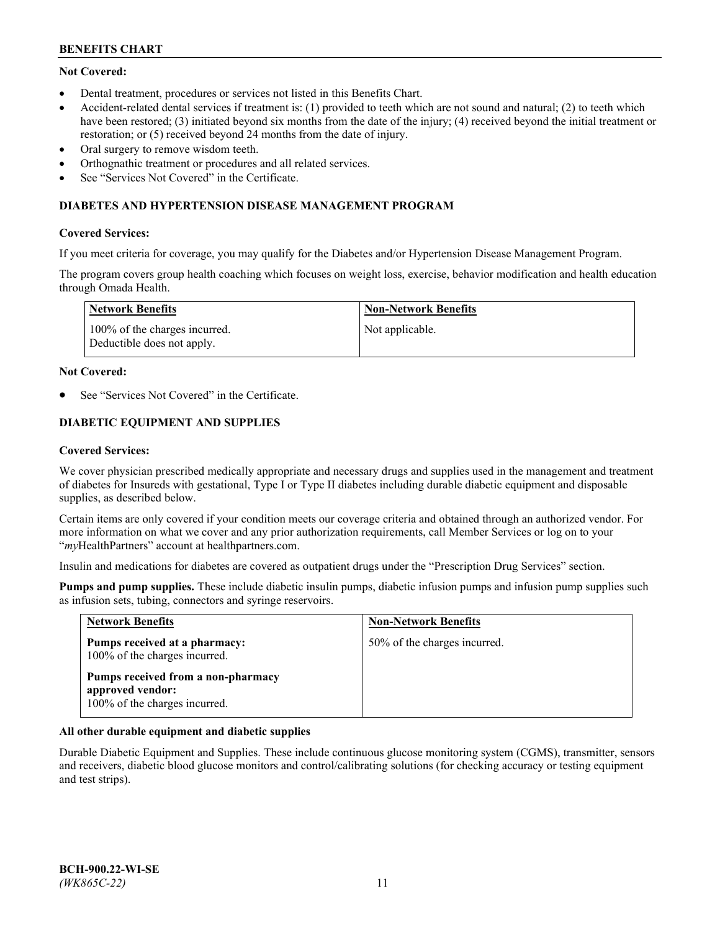# **Not Covered:**

- Dental treatment, procedures or services not listed in this Benefits Chart.
- Accident-related dental services if treatment is: (1) provided to teeth which are not sound and natural; (2) to teeth which have been restored; (3) initiated beyond six months from the date of the injury; (4) received beyond the initial treatment or restoration; or (5) received beyond 24 months from the date of injury.
- Oral surgery to remove wisdom teeth.
- Orthognathic treatment or procedures and all related services.
- See "Services Not Covered" in the Certificate.

## **DIABETES AND HYPERTENSION DISEASE MANAGEMENT PROGRAM**

### **Covered Services:**

If you meet criteria for coverage, you may qualify for the Diabetes and/or Hypertension Disease Management Program.

The program covers group health coaching which focuses on weight loss, exercise, behavior modification and health education through Omada Health.

| <b>Network Benefits</b>                                     | <b>Non-Network Benefits</b> |
|-------------------------------------------------------------|-----------------------------|
| 100% of the charges incurred.<br>Deductible does not apply. | Not applicable.             |

### **Not Covered:**

See "Services Not Covered" in the Certificate.

# **DIABETIC EQUIPMENT AND SUPPLIES**

### **Covered Services:**

We cover physician prescribed medically appropriate and necessary drugs and supplies used in the management and treatment of diabetes for Insureds with gestational, Type I or Type II diabetes including durable diabetic equipment and disposable supplies, as described below.

Certain items are only covered if your condition meets our coverage criteria and obtained through an authorized vendor. For more information on what we cover and any prior authorization requirements, call Member Services or log on to your "*my*HealthPartners" account at [healthpartners.com.](http://www.healthpartners.com/)

Insulin and medications for diabetes are covered as outpatient drugs under the "Prescription Drug Services" section.

**Pumps and pump supplies.** These include diabetic insulin pumps, diabetic infusion pumps and infusion pump supplies such as infusion sets, tubing, connectors and syringe reservoirs.

| <b>Network Benefits</b>                                                                 | <b>Non-Network Benefits</b>  |
|-----------------------------------------------------------------------------------------|------------------------------|
| Pumps received at a pharmacy:<br>100% of the charges incurred.                          | 50% of the charges incurred. |
| Pumps received from a non-pharmacy<br>approved vendor:<br>100% of the charges incurred. |                              |

## **All other durable equipment and diabetic supplies**

Durable Diabetic Equipment and Supplies. These include continuous glucose monitoring system (CGMS), transmitter, sensors and receivers, diabetic blood glucose monitors and control/calibrating solutions (for checking accuracy or testing equipment and test strips).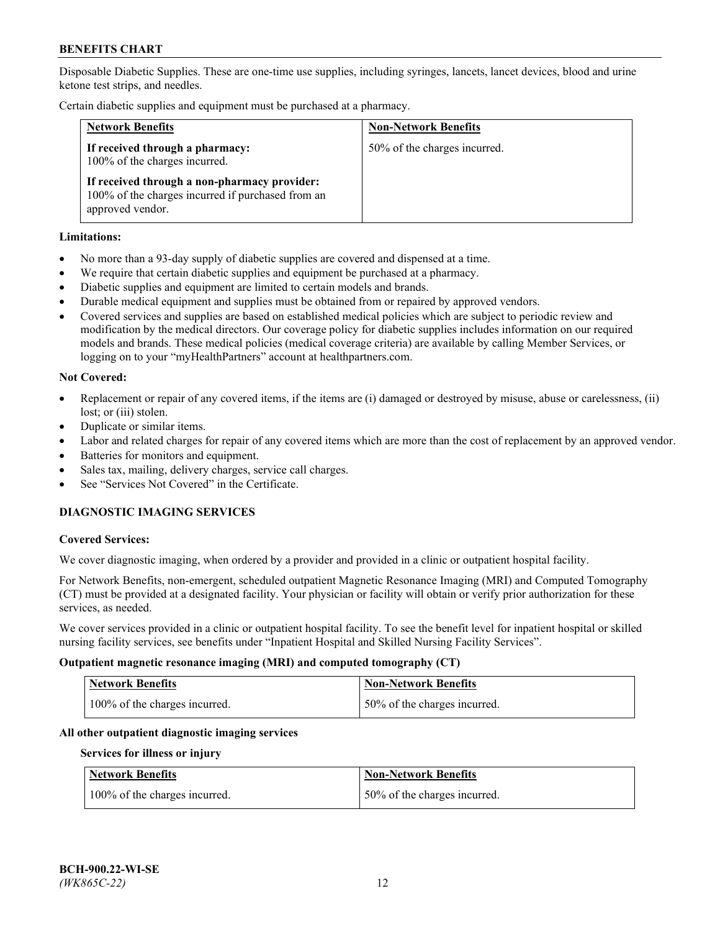Disposable Diabetic Supplies. These are one-time use supplies, including syringes, lancets, lancet devices, blood and urine ketone test strips, and needles.

Certain diabetic supplies and equipment must be purchased at a pharmacy.

| <b>Network Benefits</b>                                                                                               | <b>Non-Network Benefits</b>  |
|-----------------------------------------------------------------------------------------------------------------------|------------------------------|
| If received through a pharmacy:<br>100% of the charges incurred.                                                      | 50% of the charges incurred. |
| If received through a non-pharmacy provider:<br>100% of the charges incurred if purchased from an<br>approved vendor. |                              |

### **Limitations:**

- No more than a 93-day supply of diabetic supplies are covered and dispensed at a time.
- We require that certain diabetic supplies and equipment be purchased at a pharmacy.
- Diabetic supplies and equipment are limited to certain models and brands.
- Durable medical equipment and supplies must be obtained from or repaired by approved vendors.
- Covered services and supplies are based on established medical policies which are subject to periodic review and modification by the medical directors. Our coverage policy for diabetic supplies includes information on our required models and brands. These medical policies (medical coverage criteria) are available by calling Member Services, or logging on to your "myHealthPartners" account at [healthpartners.com.](http://www.healthpartners.com/)

### **Not Covered:**

- Replacement or repair of any covered items, if the items are (i) damaged or destroyed by misuse, abuse or carelessness, (ii) lost; or (iii) stolen.
- Duplicate or similar items.
- Labor and related charges for repair of any covered items which are more than the cost of replacement by an approved vendor.
- Batteries for monitors and equipment.
- Sales tax, mailing, delivery charges, service call charges.
- See "Services Not Covered" in the Certificate.

# **DIAGNOSTIC IMAGING SERVICES**

#### **Covered Services:**

We cover diagnostic imaging, when ordered by a provider and provided in a clinic or outpatient hospital facility.

For Network Benefits, non-emergent, scheduled outpatient Magnetic Resonance Imaging (MRI) and Computed Tomography (CT) must be provided at a designated facility. Your physician or facility will obtain or verify prior authorization for these services, as needed.

We cover services provided in a clinic or outpatient hospital facility. To see the benefit level for inpatient hospital or skilled nursing facility services, see benefits under "Inpatient Hospital and Skilled Nursing Facility Services".

#### **Outpatient magnetic resonance imaging (MRI) and computed tomography (CT)**

| <b>Network Benefits</b>       | <b>Non-Network Benefits</b>  |
|-------------------------------|------------------------------|
| 100% of the charges incurred. | 50% of the charges incurred. |

#### **All other outpatient diagnostic imaging services**

#### **Services for illness or injury**

| <b>Network Benefits</b>       | <b>Non-Network Benefits</b>  |
|-------------------------------|------------------------------|
| 100% of the charges incurred. | 50% of the charges incurred. |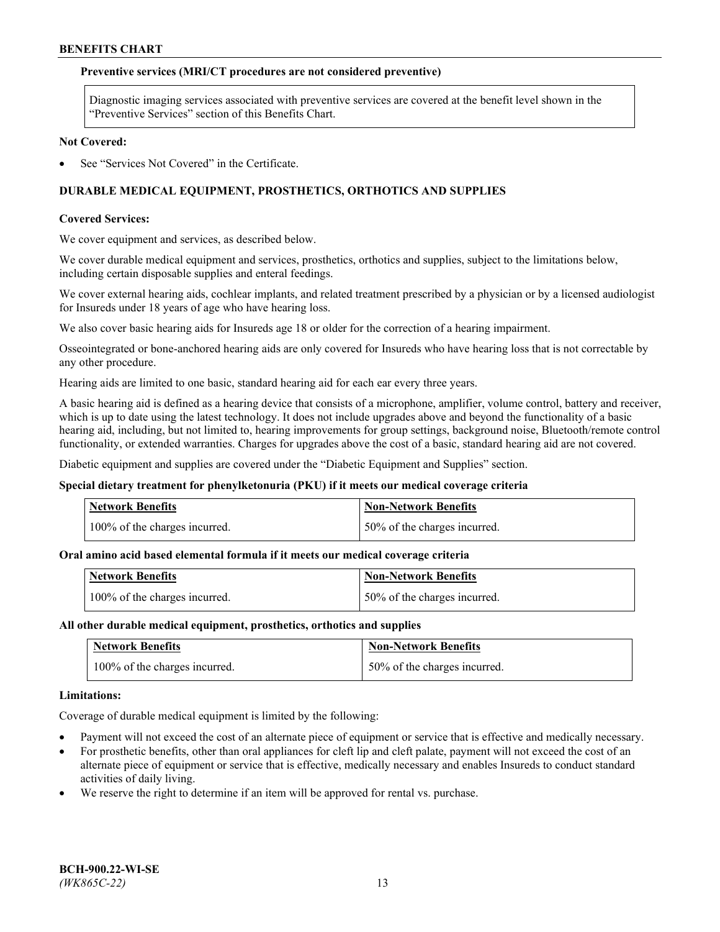## **Preventive services (MRI/CT procedures are not considered preventive)**

Diagnostic imaging services associated with preventive services are covered at the benefit level shown in the "Preventive Services" section of this Benefits Chart.

#### **Not Covered:**

See "Services Not Covered" in the Certificate.

# **DURABLE MEDICAL EQUIPMENT, PROSTHETICS, ORTHOTICS AND SUPPLIES**

#### **Covered Services:**

We cover equipment and services, as described below.

We cover durable medical equipment and services, prosthetics, orthotics and supplies, subject to the limitations below, including certain disposable supplies and enteral feedings.

We cover external hearing aids, cochlear implants, and related treatment prescribed by a physician or by a licensed audiologist for Insureds under 18 years of age who have hearing loss.

We also cover basic hearing aids for Insureds age 18 or older for the correction of a hearing impairment.

Osseointegrated or bone-anchored hearing aids are only covered for Insureds who have hearing loss that is not correctable by any other procedure.

Hearing aids are limited to one basic, standard hearing aid for each ear every three years.

A basic hearing aid is defined as a hearing device that consists of a microphone, amplifier, volume control, battery and receiver, which is up to date using the latest technology. It does not include upgrades above and beyond the functionality of a basic hearing aid, including, but not limited to, hearing improvements for group settings, background noise, Bluetooth/remote control functionality, or extended warranties. Charges for upgrades above the cost of a basic, standard hearing aid are not covered.

Diabetic equipment and supplies are covered under the "Diabetic Equipment and Supplies" section.

#### **Special dietary treatment for phenylketonuria (PKU) if it meets our medical coverage criteria**

| <b>Network Benefits</b>       | <b>Non-Network Benefits</b>   |
|-------------------------------|-------------------------------|
| 100% of the charges incurred. | 150% of the charges incurred. |

#### **Oral amino acid based elemental formula if it meets our medical coverage criteria**

| Network Benefits              | Non-Network Benefits         |
|-------------------------------|------------------------------|
| 100% of the charges incurred. | 50% of the charges incurred. |

#### **All other durable medical equipment, prosthetics, orthotics and supplies**

| <b>Network Benefits</b>       | <b>Non-Network Benefits</b>  |
|-------------------------------|------------------------------|
| 100% of the charges incurred. | 50% of the charges incurred. |

#### **Limitations:**

Coverage of durable medical equipment is limited by the following:

- Payment will not exceed the cost of an alternate piece of equipment or service that is effective and medically necessary.
- For prosthetic benefits, other than oral appliances for cleft lip and cleft palate, payment will not exceed the cost of an alternate piece of equipment or service that is effective, medically necessary and enables Insureds to conduct standard activities of daily living.
- We reserve the right to determine if an item will be approved for rental vs. purchase.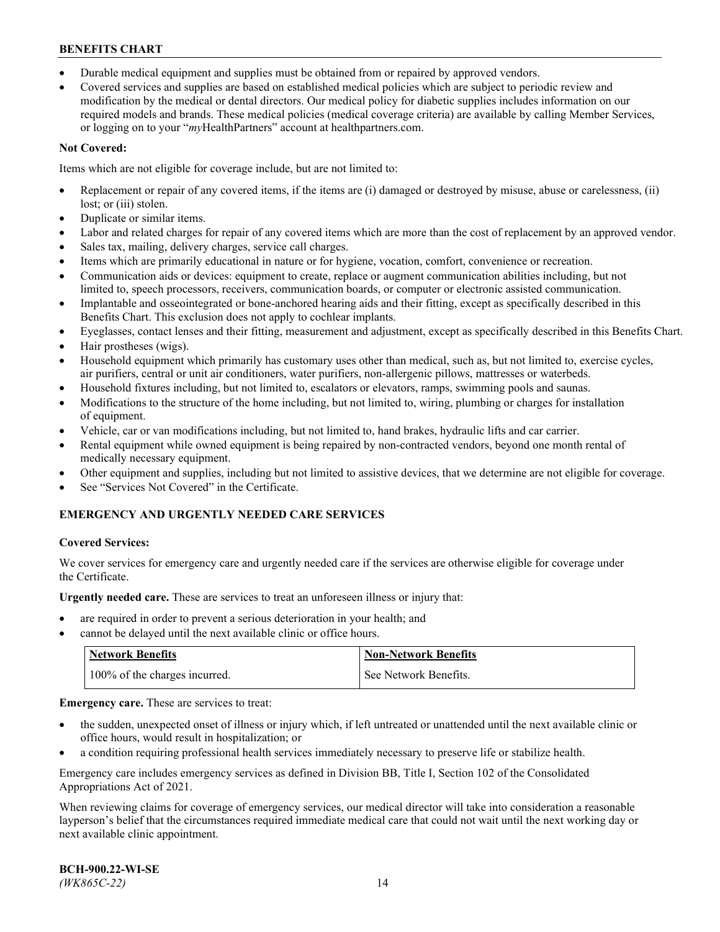- Durable medical equipment and supplies must be obtained from or repaired by approved vendors.
- Covered services and supplies are based on established medical policies which are subject to periodic review and modification by the medical or dental directors. Our medical policy for diabetic supplies includes information on our required models and brands. These medical policies (medical coverage criteria) are available by calling Member Services, or logging on to your "*my*HealthPartners" account a[t healthpartners.com.](http://www.healthpartners.com/)

# **Not Covered:**

Items which are not eligible for coverage include, but are not limited to:

- Replacement or repair of any covered items, if the items are (i) damaged or destroyed by misuse, abuse or carelessness, (ii) lost; or (iii) stolen.
- Duplicate or similar items.
- Labor and related charges for repair of any covered items which are more than the cost of replacement by an approved vendor.
- Sales tax, mailing, delivery charges, service call charges.
- Items which are primarily educational in nature or for hygiene, vocation, comfort, convenience or recreation.
- Communication aids or devices: equipment to create, replace or augment communication abilities including, but not limited to, speech processors, receivers, communication boards, or computer or electronic assisted communication.
- Implantable and osseointegrated or bone-anchored hearing aids and their fitting, except as specifically described in this Benefits Chart. This exclusion does not apply to cochlear implants.
- Eyeglasses, contact lenses and their fitting, measurement and adjustment, except as specifically described in this Benefits Chart.
- Hair prostheses (wigs).
- Household equipment which primarily has customary uses other than medical, such as, but not limited to, exercise cycles, air purifiers, central or unit air conditioners, water purifiers, non-allergenic pillows, mattresses or waterbeds.
- Household fixtures including, but not limited to, escalators or elevators, ramps, swimming pools and saunas.
- Modifications to the structure of the home including, but not limited to, wiring, plumbing or charges for installation of equipment.
- Vehicle, car or van modifications including, but not limited to, hand brakes, hydraulic lifts and car carrier.
- Rental equipment while owned equipment is being repaired by non-contracted vendors, beyond one month rental of medically necessary equipment.
- Other equipment and supplies, including but not limited to assistive devices, that we determine are not eligible for coverage.
- See "Services Not Covered" in the Certificate.

# **EMERGENCY AND URGENTLY NEEDED CARE SERVICES**

## **Covered Services:**

We cover services for emergency care and urgently needed care if the services are otherwise eligible for coverage under the Certificate.

**Urgently needed care.** These are services to treat an unforeseen illness or injury that:

- are required in order to prevent a serious deterioration in your health; and
- cannot be delayed until the next available clinic or office hours.

| <b>Network Benefits</b>       | <b>Non-Network Benefits</b> |
|-------------------------------|-----------------------------|
| 100% of the charges incurred. | See Network Benefits.       |

**Emergency care.** These are services to treat:

- the sudden, unexpected onset of illness or injury which, if left untreated or unattended until the next available clinic or office hours, would result in hospitalization; or
- a condition requiring professional health services immediately necessary to preserve life or stabilize health.

Emergency care includes emergency services as defined in Division BB, Title I, Section 102 of the Consolidated Appropriations Act of 2021.

When reviewing claims for coverage of emergency services, our medical director will take into consideration a reasonable layperson's belief that the circumstances required immediate medical care that could not wait until the next working day or next available clinic appointment.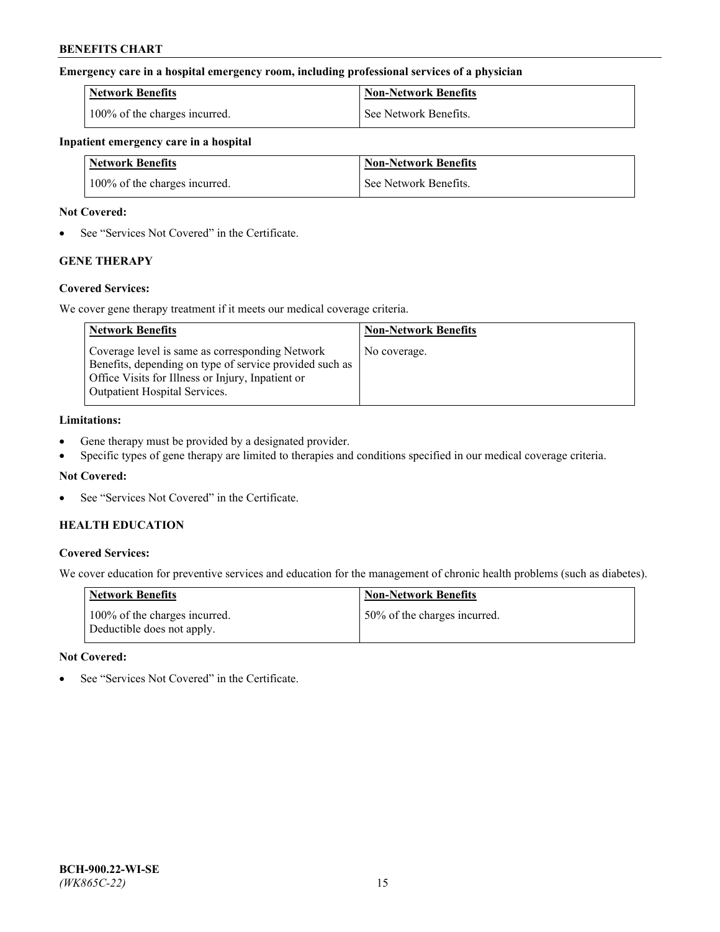## **Emergency care in a hospital emergency room, including professional services of a physician**

| <b>Network Benefits</b>       | <b>Non-Network Benefits</b> |
|-------------------------------|-----------------------------|
| 100% of the charges incurred. | See Network Benefits.       |

#### **Inpatient emergency care in a hospital**

| <b>Network Benefits</b>       | <b>Non-Network Benefits</b> |
|-------------------------------|-----------------------------|
| 100% of the charges incurred. | See Network Benefits.       |

### **Not Covered:**

• See "Services Not Covered" in the Certificate.

# **GENE THERAPY**

## **Covered Services:**

We cover gene therapy treatment if it meets our medical coverage criteria.

| <b>Network Benefits</b>                                                                                                                                                                                 | <b>Non-Network Benefits</b> |
|---------------------------------------------------------------------------------------------------------------------------------------------------------------------------------------------------------|-----------------------------|
| Coverage level is same as corresponding Network<br>Benefits, depending on type of service provided such as<br>Office Visits for Illness or Injury, Inpatient or<br><b>Outpatient Hospital Services.</b> | No coverage.                |

## **Limitations:**

- Gene therapy must be provided by a designated provider.
- Specific types of gene therapy are limited to therapies and conditions specified in our medical coverage criteria.

## **Not Covered:**

See "Services Not Covered" in the Certificate.

## **HEALTH EDUCATION**

## **Covered Services:**

We cover education for preventive services and education for the management of chronic health problems (such as diabetes).

| <b>Network Benefits</b>                                     | <b>Non-Network Benefits</b>  |
|-------------------------------------------------------------|------------------------------|
| 100% of the charges incurred.<br>Deductible does not apply. | 50% of the charges incurred. |

#### **Not Covered:**

See "Services Not Covered" in the Certificate.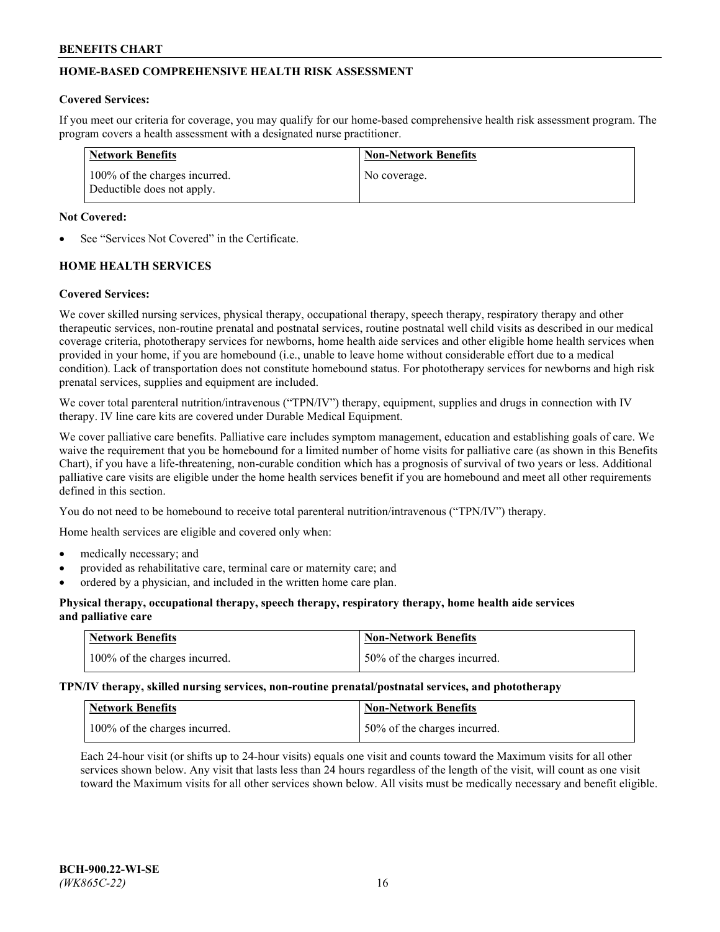# **HOME-BASED COMPREHENSIVE HEALTH RISK ASSESSMENT**

### **Covered Services:**

If you meet our criteria for coverage, you may qualify for our home-based comprehensive health risk assessment program. The program covers a health assessment with a designated nurse practitioner.

| Network Benefits                                            | <b>Non-Network Benefits</b> |
|-------------------------------------------------------------|-----------------------------|
| 100% of the charges incurred.<br>Deductible does not apply. | No coverage.                |

### **Not Covered:**

See "Services Not Covered" in the Certificate.

# **HOME HEALTH SERVICES**

### **Covered Services:**

We cover skilled nursing services, physical therapy, occupational therapy, speech therapy, respiratory therapy and other therapeutic services, non-routine prenatal and postnatal services, routine postnatal well child visits as described in our medical coverage criteria, phototherapy services for newborns, home health aide services and other eligible home health services when provided in your home, if you are homebound (i.e., unable to leave home without considerable effort due to a medical condition). Lack of transportation does not constitute homebound status. For phototherapy services for newborns and high risk prenatal services, supplies and equipment are included.

We cover total parenteral nutrition/intravenous ("TPN/IV") therapy, equipment, supplies and drugs in connection with IV therapy. IV line care kits are covered under Durable Medical Equipment.

We cover palliative care benefits. Palliative care includes symptom management, education and establishing goals of care. We waive the requirement that you be homebound for a limited number of home visits for palliative care (as shown in this Benefits Chart), if you have a life-threatening, non-curable condition which has a prognosis of survival of two years or less. Additional palliative care visits are eligible under the home health services benefit if you are homebound and meet all other requirements defined in this section.

You do not need to be homebound to receive total parenteral nutrition/intravenous ("TPN/IV") therapy.

Home health services are eligible and covered only when:

- medically necessary; and
- provided as rehabilitative care, terminal care or maternity care; and
- ordered by a physician, and included in the written home care plan.

## **Physical therapy, occupational therapy, speech therapy, respiratory therapy, home health aide services and palliative care**

| <b>Network Benefits</b>       | <b>Non-Network Benefits</b>  |
|-------------------------------|------------------------------|
| 100% of the charges incurred. | 50% of the charges incurred. |

**TPN/IV therapy, skilled nursing services, non-routine prenatal/postnatal services, and phototherapy**

| Network Benefits              | Non-Network Benefits         |
|-------------------------------|------------------------------|
| 100% of the charges incurred. | 50% of the charges incurred. |

Each 24-hour visit (or shifts up to 24-hour visits) equals one visit and counts toward the Maximum visits for all other services shown below. Any visit that lasts less than 24 hours regardless of the length of the visit, will count as one visit toward the Maximum visits for all other services shown below. All visits must be medically necessary and benefit eligible.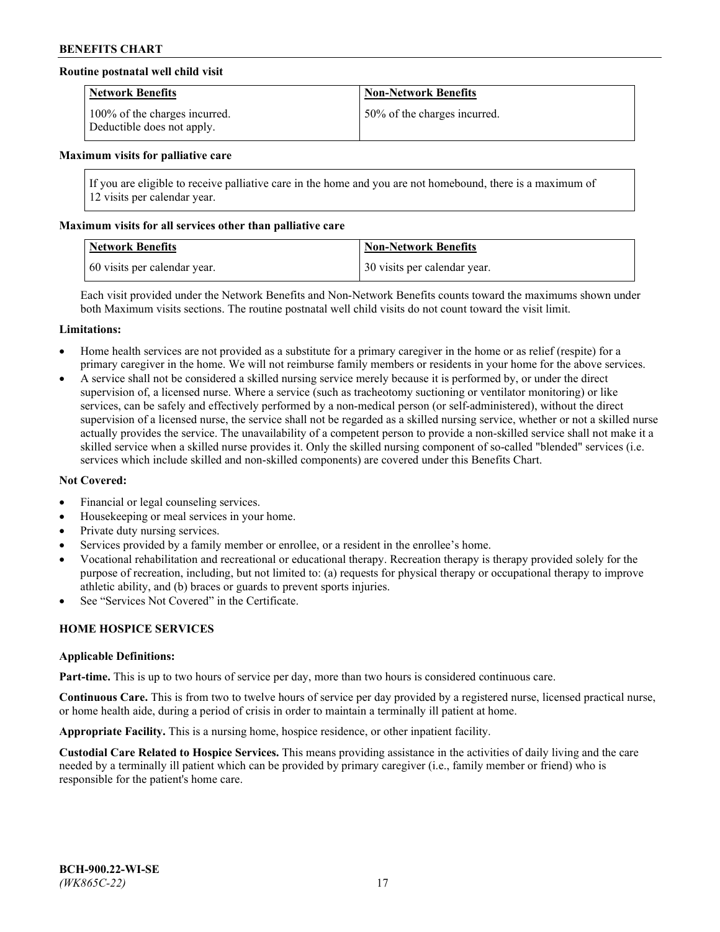## **Routine postnatal well child visit**

| <b>Network Benefits</b>                                     | <b>Non-Network Benefits</b>  |
|-------------------------------------------------------------|------------------------------|
| 100% of the charges incurred.<br>Deductible does not apply. | 50% of the charges incurred. |

#### **Maximum visits for palliative care**

If you are eligible to receive palliative care in the home and you are not homebound, there is a maximum of 12 visits per calendar year.

### **Maximum visits for all services other than palliative care**

| <b>Network Benefits</b>      | <b>Non-Network Benefits</b>  |
|------------------------------|------------------------------|
| 60 visits per calendar year. | 30 visits per calendar year. |

Each visit provided under the Network Benefits and Non-Network Benefits counts toward the maximums shown under both Maximum visits sections. The routine postnatal well child visits do not count toward the visit limit.

#### **Limitations:**

- Home health services are not provided as a substitute for a primary caregiver in the home or as relief (respite) for a primary caregiver in the home. We will not reimburse family members or residents in your home for the above services.
- A service shall not be considered a skilled nursing service merely because it is performed by, or under the direct supervision of, a licensed nurse. Where a service (such as tracheotomy suctioning or ventilator monitoring) or like services, can be safely and effectively performed by a non-medical person (or self-administered), without the direct supervision of a licensed nurse, the service shall not be regarded as a skilled nursing service, whether or not a skilled nurse actually provides the service. The unavailability of a competent person to provide a non-skilled service shall not make it a skilled service when a skilled nurse provides it. Only the skilled nursing component of so-called "blended" services (i.e. services which include skilled and non-skilled components) are covered under this Benefits Chart.

#### **Not Covered:**

- Financial or legal counseling services.
- Housekeeping or meal services in your home.
- Private duty nursing services.
- Services provided by a family member or enrollee, or a resident in the enrollee's home.
- Vocational rehabilitation and recreational or educational therapy. Recreation therapy is therapy provided solely for the purpose of recreation, including, but not limited to: (a) requests for physical therapy or occupational therapy to improve athletic ability, and (b) braces or guards to prevent sports injuries.
- See "Services Not Covered" in the Certificate.

# **HOME HOSPICE SERVICES**

#### **Applicable Definitions:**

**Part-time.** This is up to two hours of service per day, more than two hours is considered continuous care.

**Continuous Care.** This is from two to twelve hours of service per day provided by a registered nurse, licensed practical nurse, or home health aide, during a period of crisis in order to maintain a terminally ill patient at home.

**Appropriate Facility.** This is a nursing home, hospice residence, or other inpatient facility.

**Custodial Care Related to Hospice Services.** This means providing assistance in the activities of daily living and the care needed by a terminally ill patient which can be provided by primary caregiver (i.e., family member or friend) who is responsible for the patient's home care.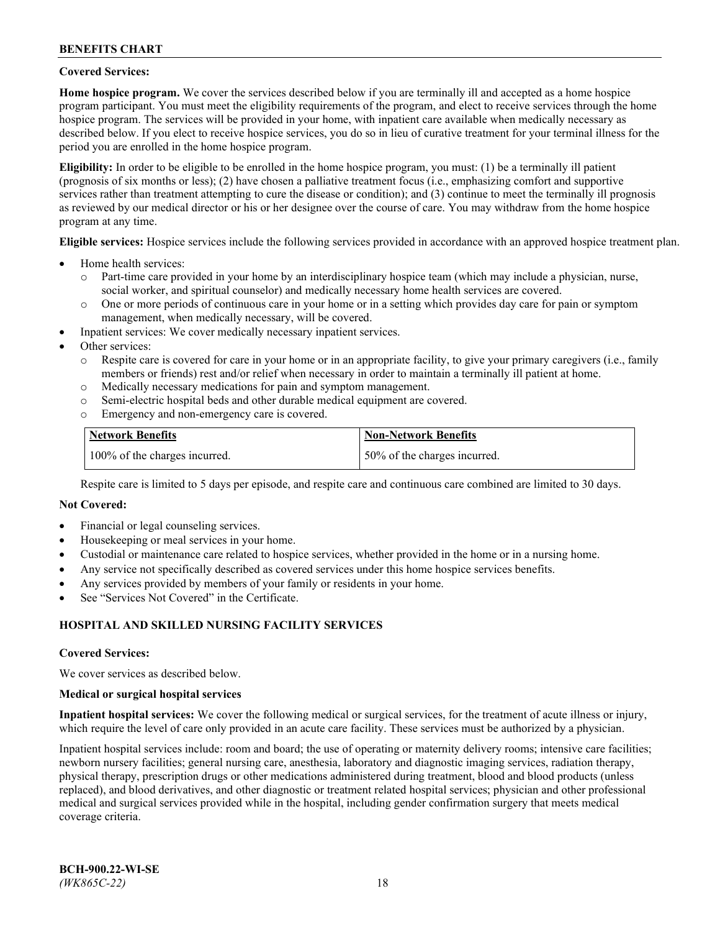## **Covered Services:**

**Home hospice program.** We cover the services described below if you are terminally ill and accepted as a home hospice program participant. You must meet the eligibility requirements of the program, and elect to receive services through the home hospice program. The services will be provided in your home, with inpatient care available when medically necessary as described below. If you elect to receive hospice services, you do so in lieu of curative treatment for your terminal illness for the period you are enrolled in the home hospice program.

**Eligibility:** In order to be eligible to be enrolled in the home hospice program, you must: (1) be a terminally ill patient (prognosis of six months or less); (2) have chosen a palliative treatment focus (i.e., emphasizing comfort and supportive services rather than treatment attempting to cure the disease or condition); and (3) continue to meet the terminally ill prognosis as reviewed by our medical director or his or her designee over the course of care. You may withdraw from the home hospice program at any time.

**Eligible services:** Hospice services include the following services provided in accordance with an approved hospice treatment plan.

- Home health services:
	- o Part-time care provided in your home by an interdisciplinary hospice team (which may include a physician, nurse, social worker, and spiritual counselor) and medically necessary home health services are covered.
	- o One or more periods of continuous care in your home or in a setting which provides day care for pain or symptom management, when medically necessary, will be covered.
- Inpatient services: We cover medically necessary inpatient services.
- Other services:
	- o Respite care is covered for care in your home or in an appropriate facility, to give your primary caregivers (i.e., family members or friends) rest and/or relief when necessary in order to maintain a terminally ill patient at home.
	- o Medically necessary medications for pain and symptom management.
	- o Semi-electric hospital beds and other durable medical equipment are covered.
	- Emergency and non-emergency care is covered.

| Network Benefits              | <b>Non-Network Benefits</b>  |
|-------------------------------|------------------------------|
| 100% of the charges incurred. | 50% of the charges incurred. |

Respite care is limited to 5 days per episode, and respite care and continuous care combined are limited to 30 days.

### **Not Covered:**

- Financial or legal counseling services.
- Housekeeping or meal services in your home.
- Custodial or maintenance care related to hospice services, whether provided in the home or in a nursing home.
- Any service not specifically described as covered services under this home hospice services benefits.
- Any services provided by members of your family or residents in your home.
- See "Services Not Covered" in the Certificate.

## **HOSPITAL AND SKILLED NURSING FACILITY SERVICES**

#### **Covered Services:**

We cover services as described below.

#### **Medical or surgical hospital services**

**Inpatient hospital services:** We cover the following medical or surgical services, for the treatment of acute illness or injury, which require the level of care only provided in an acute care facility. These services must be authorized by a physician.

Inpatient hospital services include: room and board; the use of operating or maternity delivery rooms; intensive care facilities; newborn nursery facilities; general nursing care, anesthesia, laboratory and diagnostic imaging services, radiation therapy, physical therapy, prescription drugs or other medications administered during treatment, blood and blood products (unless replaced), and blood derivatives, and other diagnostic or treatment related hospital services; physician and other professional medical and surgical services provided while in the hospital, including gender confirmation surgery that meets medical coverage criteria.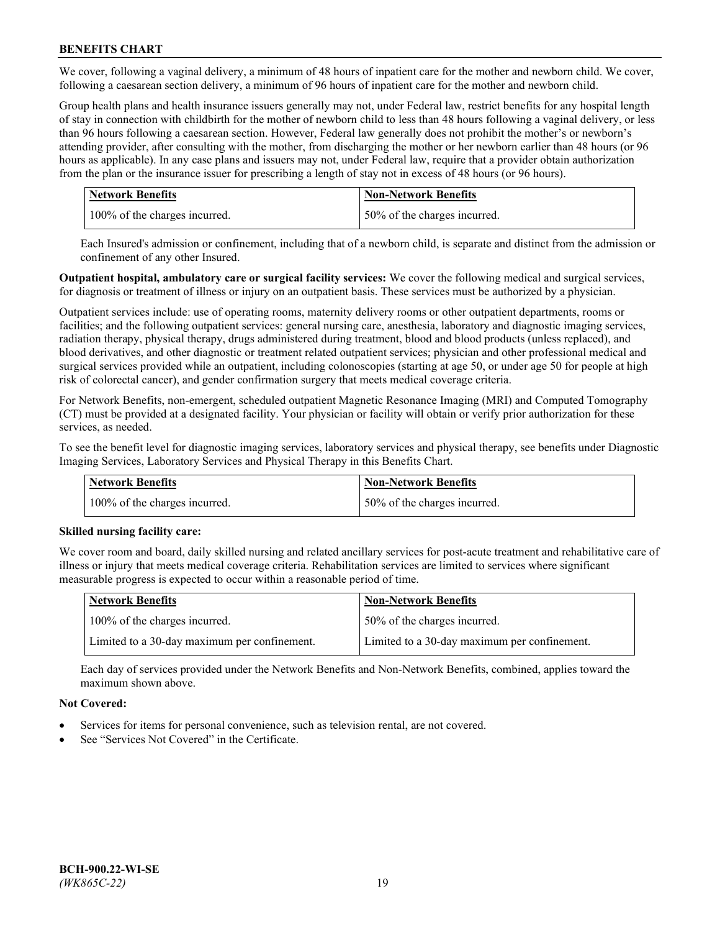We cover, following a vaginal delivery, a minimum of 48 hours of inpatient care for the mother and newborn child. We cover, following a caesarean section delivery, a minimum of 96 hours of inpatient care for the mother and newborn child.

Group health plans and health insurance issuers generally may not, under Federal law, restrict benefits for any hospital length of stay in connection with childbirth for the mother of newborn child to less than 48 hours following a vaginal delivery, or less than 96 hours following a caesarean section. However, Federal law generally does not prohibit the mother's or newborn's attending provider, after consulting with the mother, from discharging the mother or her newborn earlier than 48 hours (or 96 hours as applicable). In any case plans and issuers may not, under Federal law, require that a provider obtain authorization from the plan or the insurance issuer for prescribing a length of stay not in excess of 48 hours (or 96 hours).

| <b>Network Benefits</b>       | <b>Non-Network Benefits</b>  |
|-------------------------------|------------------------------|
| 100% of the charges incurred. | 50% of the charges incurred. |

Each Insured's admission or confinement, including that of a newborn child, is separate and distinct from the admission or confinement of any other Insured.

**Outpatient hospital, ambulatory care or surgical facility services:** We cover the following medical and surgical services, for diagnosis or treatment of illness or injury on an outpatient basis. These services must be authorized by a physician.

Outpatient services include: use of operating rooms, maternity delivery rooms or other outpatient departments, rooms or facilities; and the following outpatient services: general nursing care, anesthesia, laboratory and diagnostic imaging services, radiation therapy, physical therapy, drugs administered during treatment, blood and blood products (unless replaced), and blood derivatives, and other diagnostic or treatment related outpatient services; physician and other professional medical and surgical services provided while an outpatient, including colonoscopies (starting at age 50, or under age 50 for people at high risk of colorectal cancer), and gender confirmation surgery that meets medical coverage criteria.

For Network Benefits, non-emergent, scheduled outpatient Magnetic Resonance Imaging (MRI) and Computed Tomography (CT) must be provided at a designated facility. Your physician or facility will obtain or verify prior authorization for these services, as needed.

To see the benefit level for diagnostic imaging services, laboratory services and physical therapy, see benefits under Diagnostic Imaging Services, Laboratory Services and Physical Therapy in this Benefits Chart.

| <b>Network Benefits</b>       | <b>Non-Network Benefits</b>  |
|-------------------------------|------------------------------|
| 100% of the charges incurred. | 50% of the charges incurred. |

## **Skilled nursing facility care:**

We cover room and board, daily skilled nursing and related ancillary services for post-acute treatment and rehabilitative care of illness or injury that meets medical coverage criteria. Rehabilitation services are limited to services where significant measurable progress is expected to occur within a reasonable period of time.

| Network Benefits                             | <b>Non-Network Benefits</b>                  |
|----------------------------------------------|----------------------------------------------|
| 100% of the charges incurred.                | 50% of the charges incurred.                 |
| Limited to a 30-day maximum per confinement. | Limited to a 30-day maximum per confinement. |

Each day of services provided under the Network Benefits and Non-Network Benefits, combined, applies toward the maximum shown above.

## **Not Covered:**

- Services for items for personal convenience, such as television rental, are not covered.
- See "Services Not Covered" in the Certificate.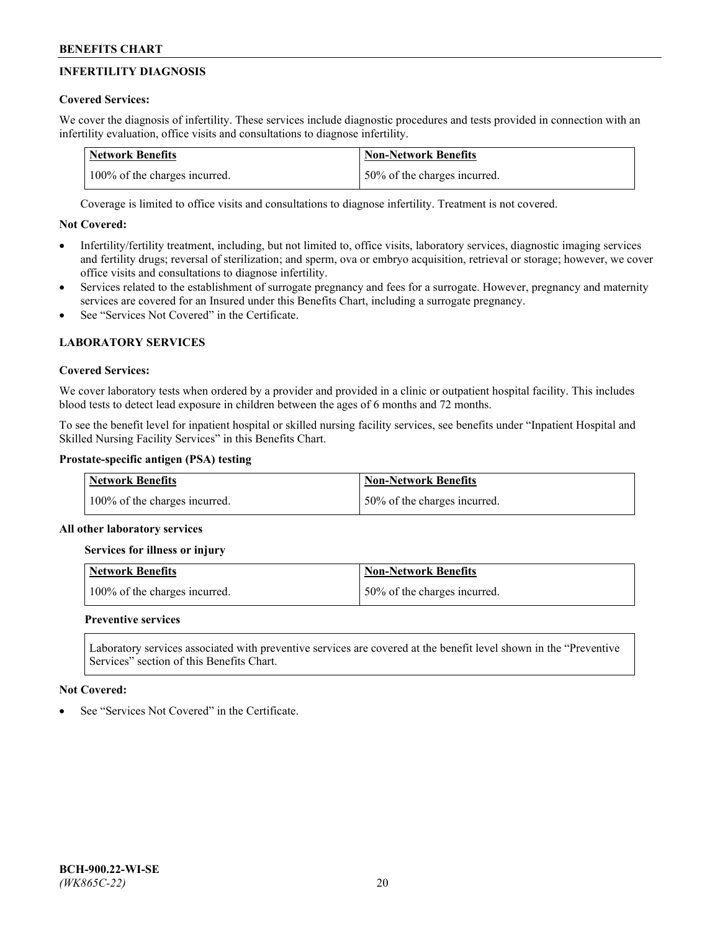# **INFERTILITY DIAGNOSIS**

# **Covered Services:**

We cover the diagnosis of infertility. These services include diagnostic procedures and tests provided in connection with an infertility evaluation, office visits and consultations to diagnose infertility.

| <b>Network Benefits</b>       | <b>Non-Network Benefits</b>  |
|-------------------------------|------------------------------|
| 100% of the charges incurred. | 50% of the charges incurred. |

Coverage is limited to office visits and consultations to diagnose infertility. Treatment is not covered.

# **Not Covered:**

- Infertility/fertility treatment, including, but not limited to, office visits, laboratory services, diagnostic imaging services and fertility drugs; reversal of sterilization; and sperm, ova or embryo acquisition, retrieval or storage; however, we cover office visits and consultations to diagnose infertility.
- Services related to the establishment of surrogate pregnancy and fees for a surrogate. However, pregnancy and maternity services are covered for an Insured under this Benefits Chart, including a surrogate pregnancy.
- See "Services Not Covered" in the Certificate

# **LABORATORY SERVICES**

## **Covered Services:**

We cover laboratory tests when ordered by a provider and provided in a clinic or outpatient hospital facility. This includes blood tests to detect lead exposure in children between the ages of 6 months and 72 months.

To see the benefit level for inpatient hospital or skilled nursing facility services, see benefits under "Inpatient Hospital and Skilled Nursing Facility Services" in this Benefits Chart.

## **Prostate-specific antigen (PSA) testing**

| <b>Network Benefits</b>       | <b>Non-Network Benefits</b>  |
|-------------------------------|------------------------------|
| 100% of the charges incurred. | 50% of the charges incurred. |

## **All other laboratory services**

**Services for illness or injury**

| <b>Network Benefits</b>       | Non-Network Benefits         |
|-------------------------------|------------------------------|
| 100% of the charges incurred. | 50% of the charges incurred. |

## **Preventive services**

Laboratory services associated with preventive services are covered at the benefit level shown in the "Preventive Services" section of this Benefits Chart.

## **Not Covered:**

See "Services Not Covered" in the Certificate.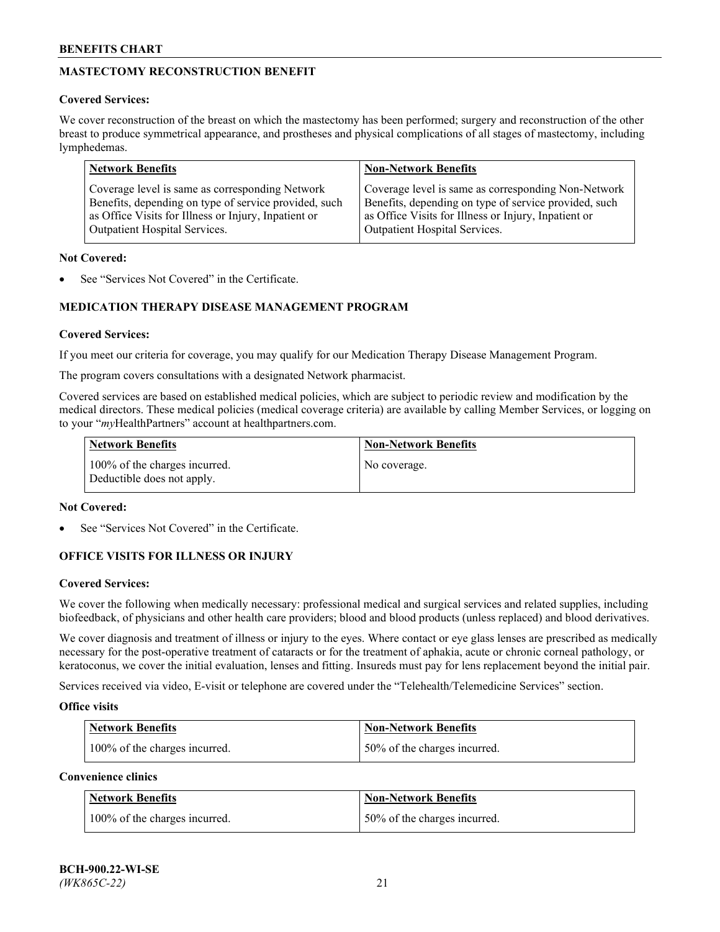# **MASTECTOMY RECONSTRUCTION BENEFIT**

## **Covered Services:**

We cover reconstruction of the breast on which the mastectomy has been performed; surgery and reconstruction of the other breast to produce symmetrical appearance, and prostheses and physical complications of all stages of mastectomy, including lymphedemas.

| <b>Network Benefits</b>                               | <b>Non-Network Benefits</b>                           |
|-------------------------------------------------------|-------------------------------------------------------|
| Coverage level is same as corresponding Network       | Coverage level is same as corresponding Non-Network   |
| Benefits, depending on type of service provided, such | Benefits, depending on type of service provided, such |
| as Office Visits for Illness or Injury, Inpatient or  | as Office Visits for Illness or Injury, Inpatient or  |
| Outpatient Hospital Services.                         | Outpatient Hospital Services.                         |

### **Not Covered:**

See "Services Not Covered" in the Certificate.

# **MEDICATION THERAPY DISEASE MANAGEMENT PROGRAM**

## **Covered Services:**

If you meet our criteria for coverage, you may qualify for our Medication Therapy Disease Management Program.

The program covers consultations with a designated Network pharmacist.

Covered services are based on established medical policies, which are subject to periodic review and modification by the medical directors. These medical policies (medical coverage criteria) are available by calling Member Services, or logging on to your "*my*HealthPartners" account at [healthpartners.com.](http://www.healthpartners.com/)

| Network Benefits                                            | <b>Non-Network Benefits</b> |
|-------------------------------------------------------------|-----------------------------|
| 100% of the charges incurred.<br>Deductible does not apply. | No coverage.                |

## **Not Covered:**

See "Services Not Covered" in the Certificate.

## **OFFICE VISITS FOR ILLNESS OR INJURY**

#### **Covered Services:**

We cover the following when medically necessary: professional medical and surgical services and related supplies, including biofeedback, of physicians and other health care providers; blood and blood products (unless replaced) and blood derivatives.

We cover diagnosis and treatment of illness or injury to the eyes. Where contact or eye glass lenses are prescribed as medically necessary for the post-operative treatment of cataracts or for the treatment of aphakia, acute or chronic corneal pathology, or keratoconus, we cover the initial evaluation, lenses and fitting. Insureds must pay for lens replacement beyond the initial pair.

Services received via video, E-visit or telephone are covered under the "Telehealth/Telemedicine Services" section.

#### **Office visits**

| <b>Network Benefits</b>       | <b>Non-Network Benefits</b>  |
|-------------------------------|------------------------------|
| 100% of the charges incurred. | 50% of the charges incurred. |

**Convenience clinics**

| <b>Network Benefits</b>       | <b>Non-Network Benefits</b>   |
|-------------------------------|-------------------------------|
| 100% of the charges incurred. | 150% of the charges incurred. |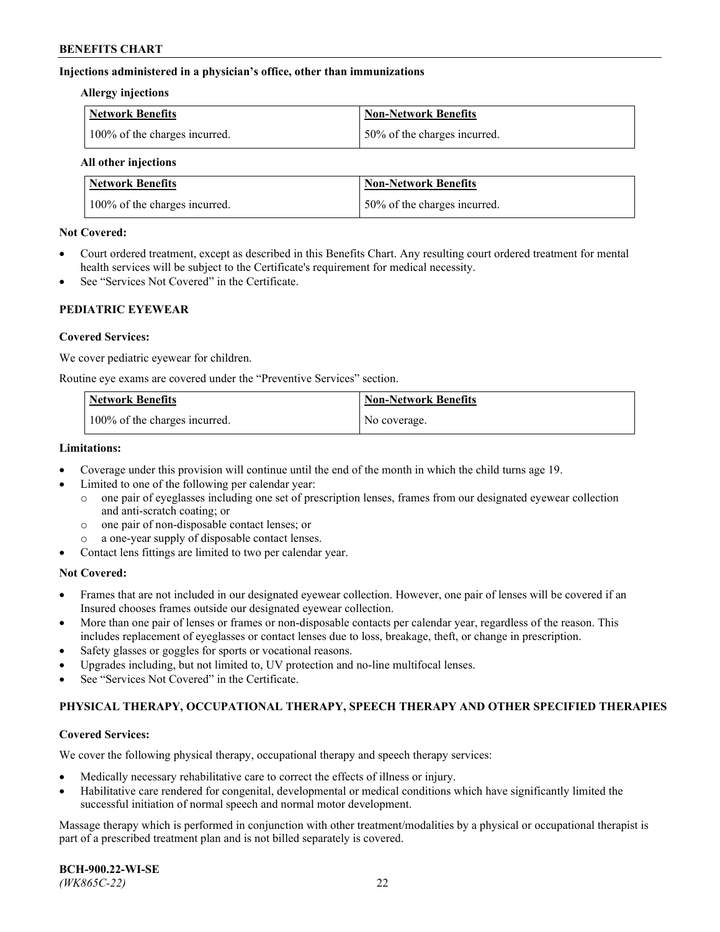## **Injections administered in a physician's office, other than immunizations**

#### **Allergy injections**

| Network Benefits              | Non-Network Benefits         |
|-------------------------------|------------------------------|
| 100% of the charges incurred. | 50% of the charges incurred. |

#### **All other injections**

| <b>Network Benefits</b>       | <b>Non-Network Benefits</b>  |
|-------------------------------|------------------------------|
| 100% of the charges incurred. | 50% of the charges incurred. |

### **Not Covered:**

- Court ordered treatment, except as described in this Benefits Chart. Any resulting court ordered treatment for mental health services will be subject to the Certificate's requirement for medical necessity.
- See "Services Not Covered" in the Certificate.

## **PEDIATRIC EYEWEAR**

### **Covered Services:**

We cover pediatric eyewear for children.

Routine eye exams are covered under the "Preventive Services" section.

| Network Benefits              | <b>Non-Network Benefits</b> |
|-------------------------------|-----------------------------|
| 100% of the charges incurred. | No coverage.                |

## **Limitations:**

- Coverage under this provision will continue until the end of the month in which the child turns age 19.
- Limited to one of the following per calendar year:
	- o one pair of eyeglasses including one set of prescription lenses, frames from our designated eyewear collection and anti-scratch coating; or
	- o one pair of non-disposable contact lenses; or
	- o a one-year supply of disposable contact lenses.
- Contact lens fittings are limited to two per calendar year.

## **Not Covered:**

- Frames that are not included in our designated eyewear collection. However, one pair of lenses will be covered if an Insured chooses frames outside our designated eyewear collection.
- More than one pair of lenses or frames or non-disposable contacts per calendar year, regardless of the reason. This includes replacement of eyeglasses or contact lenses due to loss, breakage, theft, or change in prescription.
- Safety glasses or goggles for sports or vocational reasons.
- Upgrades including, but not limited to, UV protection and no-line multifocal lenses.
- See "Services Not Covered" in the Certificate.

## **PHYSICAL THERAPY, OCCUPATIONAL THERAPY, SPEECH THERAPY AND OTHER SPECIFIED THERAPIES**

#### **Covered Services:**

We cover the following physical therapy, occupational therapy and speech therapy services:

- Medically necessary rehabilitative care to correct the effects of illness or injury.
- Habilitative care rendered for congenital, developmental or medical conditions which have significantly limited the successful initiation of normal speech and normal motor development.

Massage therapy which is performed in conjunction with other treatment/modalities by a physical or occupational therapist is part of a prescribed treatment plan and is not billed separately is covered.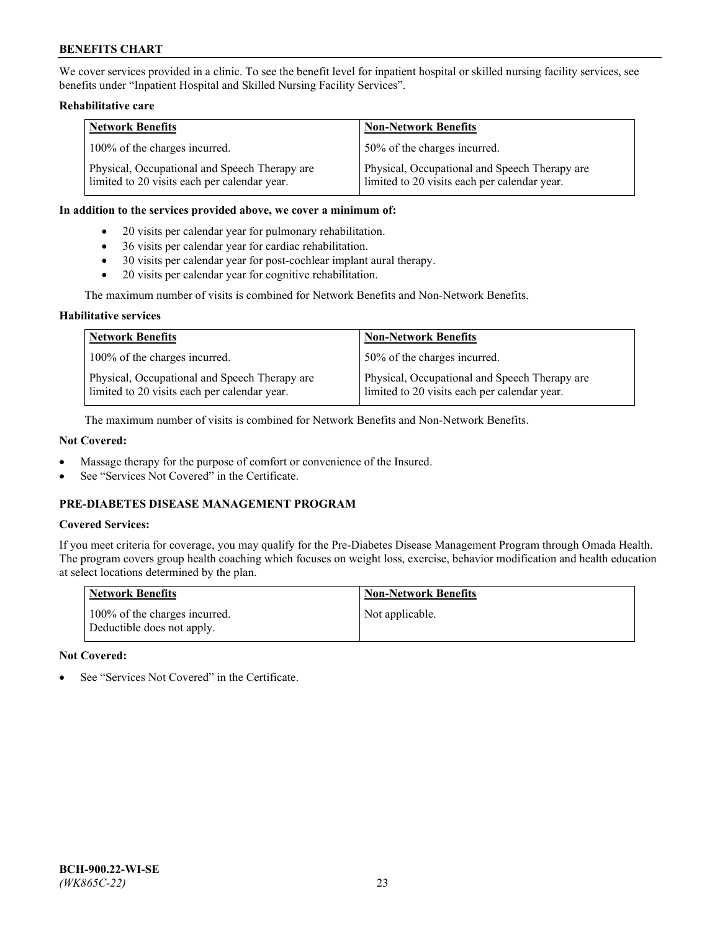We cover services provided in a clinic. To see the benefit level for inpatient hospital or skilled nursing facility services, see benefits under "Inpatient Hospital and Skilled Nursing Facility Services".

## **Rehabilitative care**

| <b>Network Benefits</b>                                                                       | <b>Non-Network Benefits</b>                                                                   |
|-----------------------------------------------------------------------------------------------|-----------------------------------------------------------------------------------------------|
| 100% of the charges incurred.                                                                 | 50% of the charges incurred.                                                                  |
| Physical, Occupational and Speech Therapy are<br>limited to 20 visits each per calendar year. | Physical, Occupational and Speech Therapy are<br>limited to 20 visits each per calendar year. |

#### **In addition to the services provided above, we cover a minimum of:**

- 20 visits per calendar year for pulmonary rehabilitation.
- 36 visits per calendar year for cardiac rehabilitation.
- 30 visits per calendar year for post-cochlear implant aural therapy.
- 20 visits per calendar year for cognitive rehabilitation.

The maximum number of visits is combined for Network Benefits and Non-Network Benefits.

### **Habilitative services**

| <b>Network Benefits</b>                                                                       | <b>Non-Network Benefits</b>                                                                   |
|-----------------------------------------------------------------------------------------------|-----------------------------------------------------------------------------------------------|
| 100% of the charges incurred.                                                                 | 50% of the charges incurred.                                                                  |
| Physical, Occupational and Speech Therapy are<br>limited to 20 visits each per calendar year. | Physical, Occupational and Speech Therapy are<br>limited to 20 visits each per calendar year. |

The maximum number of visits is combined for Network Benefits and Non-Network Benefits.

## **Not Covered:**

- Massage therapy for the purpose of comfort or convenience of the Insured.
- See "Services Not Covered" in the Certificate.

# **PRE-DIABETES DISEASE MANAGEMENT PROGRAM**

## **Covered Services:**

If you meet criteria for coverage, you may qualify for the Pre-Diabetes Disease Management Program through Omada Health. The program covers group health coaching which focuses on weight loss, exercise, behavior modification and health education at select locations determined by the plan.

| <b>Network Benefits</b>                                     | <b>Non-Network Benefits</b> |
|-------------------------------------------------------------|-----------------------------|
| 100% of the charges incurred.<br>Deductible does not apply. | Not applicable.             |

## **Not Covered:**

See "Services Not Covered" in the Certificate.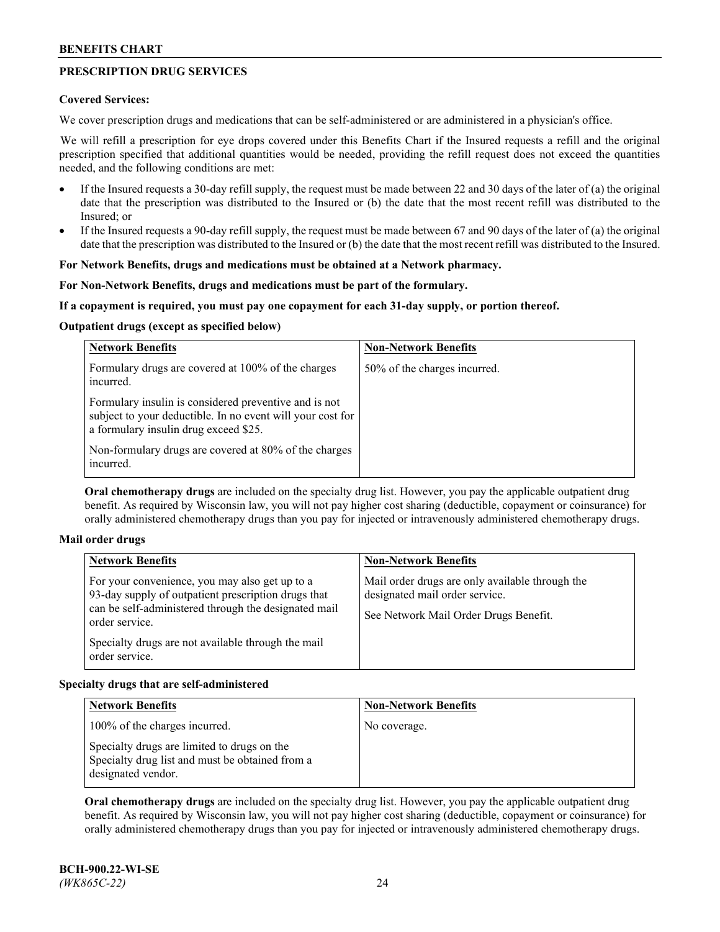# **PRESCRIPTION DRUG SERVICES**

## **Covered Services:**

We cover prescription drugs and medications that can be self-administered or are administered in a physician's office.

We will refill a prescription for eye drops covered under this Benefits Chart if the Insured requests a refill and the original prescription specified that additional quantities would be needed, providing the refill request does not exceed the quantities needed, and the following conditions are met:

- If the Insured requests a 30-day refill supply, the request must be made between 22 and 30 days of the later of (a) the original date that the prescription was distributed to the Insured or (b) the date that the most recent refill was distributed to the Insured; or
- If the Insured requests a 90-day refill supply, the request must be made between 67 and 90 days of the later of (a) the original date that the prescription was distributed to the Insured or (b) the date that the most recent refill was distributed to the Insured.

## **For Network Benefits, drugs and medications must be obtained at a Network pharmacy.**

### **For Non-Network Benefits, drugs and medications must be part of the formulary.**

### **If a copayment is required, you must pay one copayment for each 31-day supply, or portion thereof.**

### **Outpatient drugs (except as specified below)**

| <b>Network Benefits</b>                                                                                                                                      | <b>Non-Network Benefits</b>  |
|--------------------------------------------------------------------------------------------------------------------------------------------------------------|------------------------------|
| Formulary drugs are covered at 100% of the charges<br>incurred.                                                                                              | 50% of the charges incurred. |
| Formulary insulin is considered preventive and is not<br>subject to your deductible. In no event will your cost for<br>a formulary insulin drug exceed \$25. |                              |
| Non-formulary drugs are covered at 80% of the charges<br>incurred.                                                                                           |                              |

**Oral chemotherapy drugs** are included on the specialty drug list. However, you pay the applicable outpatient drug benefit. As required by Wisconsin law, you will not pay higher cost sharing (deductible, copayment or coinsurance) for orally administered chemotherapy drugs than you pay for injected or intravenously administered chemotherapy drugs.

#### **Mail order drugs**

| <b>Network Benefits</b>                                                                                                                                                                                                                                 | <b>Non-Network Benefits</b>                                                                                                |
|---------------------------------------------------------------------------------------------------------------------------------------------------------------------------------------------------------------------------------------------------------|----------------------------------------------------------------------------------------------------------------------------|
| For your convenience, you may also get up to a<br>93-day supply of outpatient prescription drugs that<br>can be self-administered through the designated mail<br>order service.<br>Specialty drugs are not available through the mail<br>order service. | Mail order drugs are only available through the<br>designated mail order service.<br>See Network Mail Order Drugs Benefit. |

## **Specialty drugs that are self-administered**

| <b>Network Benefits</b>                                                                                              | <b>Non-Network Benefits</b> |
|----------------------------------------------------------------------------------------------------------------------|-----------------------------|
| 100% of the charges incurred.                                                                                        | No coverage.                |
| Specialty drugs are limited to drugs on the<br>Specialty drug list and must be obtained from a<br>designated vendor. |                             |

**Oral chemotherapy drugs** are included on the specialty drug list. However, you pay the applicable outpatient drug benefit. As required by Wisconsin law, you will not pay higher cost sharing (deductible, copayment or coinsurance) for orally administered chemotherapy drugs than you pay for injected or intravenously administered chemotherapy drugs.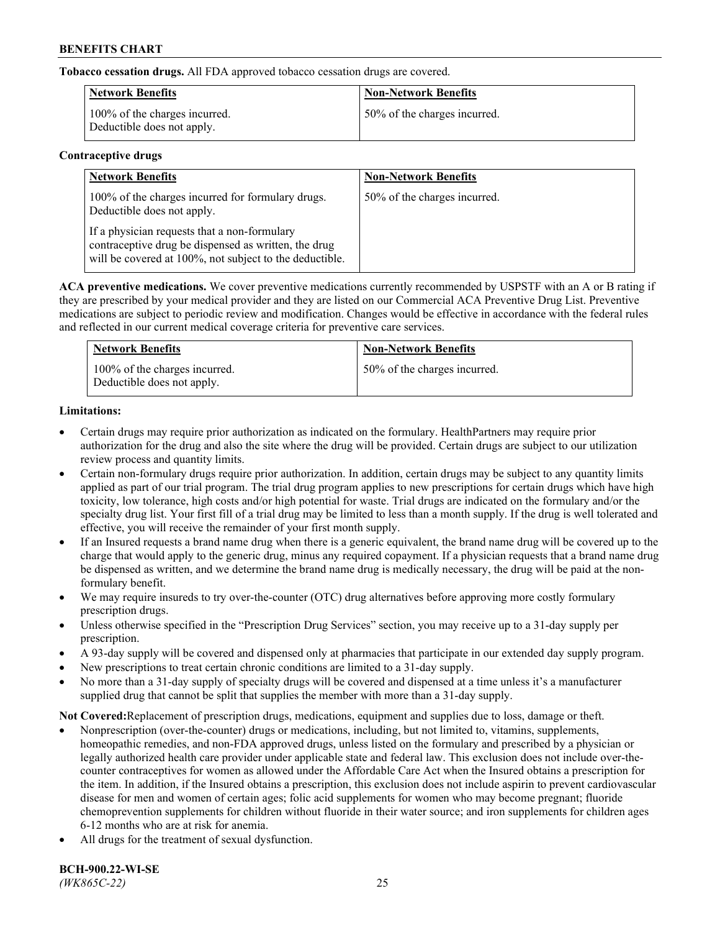**Tobacco cessation drugs.** All FDA approved tobacco cessation drugs are covered.

| Network Benefits                                            | <b>Non-Network Benefits</b>  |
|-------------------------------------------------------------|------------------------------|
| 100% of the charges incurred.<br>Deductible does not apply. | 50% of the charges incurred. |

## **Contraceptive drugs**

| <b>Network Benefits</b>                                                                                                                                         | <b>Non-Network Benefits</b>  |
|-----------------------------------------------------------------------------------------------------------------------------------------------------------------|------------------------------|
| 100% of the charges incurred for formulary drugs.<br>Deductible does not apply.                                                                                 | 50% of the charges incurred. |
| If a physician requests that a non-formulary<br>contraceptive drug be dispensed as written, the drug<br>will be covered at 100%, not subject to the deductible. |                              |

**ACA preventive medications.** We cover preventive medications currently recommended by USPSTF with an A or B rating if they are prescribed by your medical provider and they are listed on our Commercial ACA Preventive Drug List. Preventive medications are subject to periodic review and modification. Changes would be effective in accordance with the federal rules and reflected in our current medical coverage criteria for preventive care services.

| <b>Network Benefits</b>                                     | <b>Non-Network Benefits</b>  |
|-------------------------------------------------------------|------------------------------|
| 100% of the charges incurred.<br>Deductible does not apply. | 50% of the charges incurred. |

# **Limitations:**

- Certain drugs may require prior authorization as indicated on the formulary. HealthPartners may require prior authorization for the drug and also the site where the drug will be provided. Certain drugs are subject to our utilization review process and quantity limits.
- Certain non-formulary drugs require prior authorization. In addition, certain drugs may be subject to any quantity limits applied as part of our trial program. The trial drug program applies to new prescriptions for certain drugs which have high toxicity, low tolerance, high costs and/or high potential for waste. Trial drugs are indicated on the formulary and/or the specialty drug list. Your first fill of a trial drug may be limited to less than a month supply. If the drug is well tolerated and effective, you will receive the remainder of your first month supply.
- If an Insured requests a brand name drug when there is a generic equivalent, the brand name drug will be covered up to the charge that would apply to the generic drug, minus any required copayment. If a physician requests that a brand name drug be dispensed as written, and we determine the brand name drug is medically necessary, the drug will be paid at the nonformulary benefit.
- We may require insureds to try over-the-counter (OTC) drug alternatives before approving more costly formulary prescription drugs.
- Unless otherwise specified in the "Prescription Drug Services" section, you may receive up to a 31-day supply per prescription.
- A 93-day supply will be covered and dispensed only at pharmacies that participate in our extended day supply program.
- New prescriptions to treat certain chronic conditions are limited to a 31-day supply.
- No more than a 31-day supply of specialty drugs will be covered and dispensed at a time unless it's a manufacturer supplied drug that cannot be split that supplies the member with more than a 31-day supply.

**Not Covered:**Replacement of prescription drugs, medications, equipment and supplies due to loss, damage or theft.

- Nonprescription (over-the-counter) drugs or medications, including, but not limited to, vitamins, supplements, homeopathic remedies, and non-FDA approved drugs, unless listed on the formulary and prescribed by a physician or legally authorized health care provider under applicable state and federal law. This exclusion does not include over-thecounter contraceptives for women as allowed under the Affordable Care Act when the Insured obtains a prescription for the item. In addition, if the Insured obtains a prescription, this exclusion does not include aspirin to prevent cardiovascular disease for men and women of certain ages; folic acid supplements for women who may become pregnant; fluoride chemoprevention supplements for children without fluoride in their water source; and iron supplements for children ages 6-12 months who are at risk for anemia.
- All drugs for the treatment of sexual dysfunction.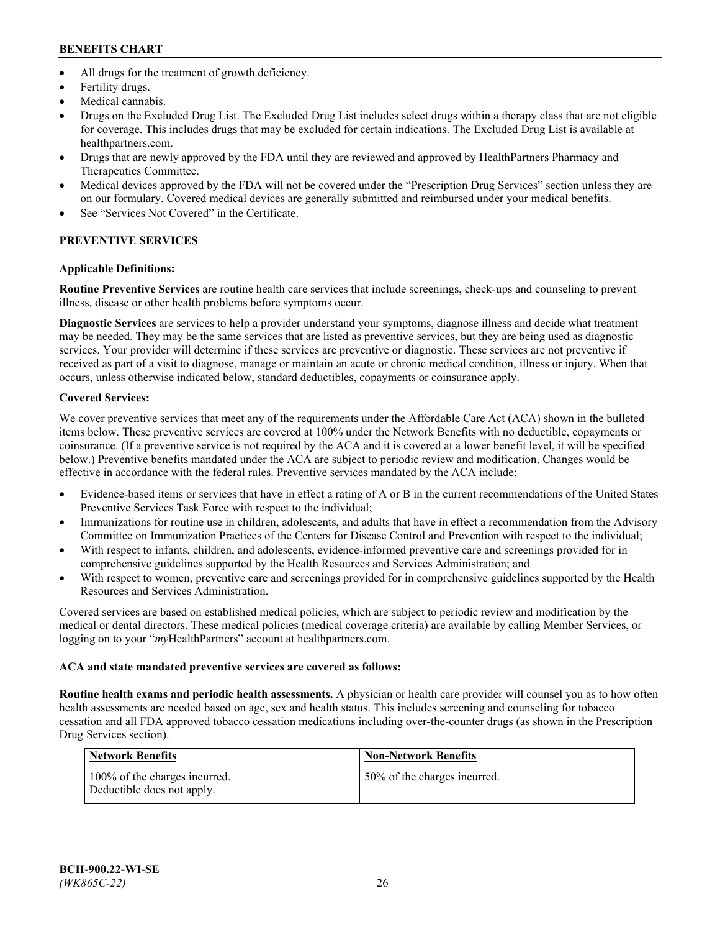- All drugs for the treatment of growth deficiency.
- Fertility drugs.
- Medical cannabis.
- Drugs on the Excluded Drug List. The Excluded Drug List includes select drugs within a therapy class that are not eligible for coverage. This includes drugs that may be excluded for certain indications. The Excluded Drug List is available at [healthpartners.com.](http://www.healthpartners.com/)
- Drugs that are newly approved by the FDA until they are reviewed and approved by HealthPartners Pharmacy and Therapeutics Committee.
- Medical devices approved by the FDA will not be covered under the "Prescription Drug Services" section unless they are on our formulary. Covered medical devices are generally submitted and reimbursed under your medical benefits.
- See "Services Not Covered" in the Certificate.

# **PREVENTIVE SERVICES**

# **Applicable Definitions:**

**Routine Preventive Services** are routine health care services that include screenings, check-ups and counseling to prevent illness, disease or other health problems before symptoms occur.

**Diagnostic Services** are services to help a provider understand your symptoms, diagnose illness and decide what treatment may be needed. They may be the same services that are listed as preventive services, but they are being used as diagnostic services. Your provider will determine if these services are preventive or diagnostic. These services are not preventive if received as part of a visit to diagnose, manage or maintain an acute or chronic medical condition, illness or injury. When that occurs, unless otherwise indicated below, standard deductibles, copayments or coinsurance apply.

# **Covered Services:**

We cover preventive services that meet any of the requirements under the Affordable Care Act (ACA) shown in the bulleted items below. These preventive services are covered at 100% under the Network Benefits with no deductible, copayments or coinsurance. (If a preventive service is not required by the ACA and it is covered at a lower benefit level, it will be specified below.) Preventive benefits mandated under the ACA are subject to periodic review and modification. Changes would be effective in accordance with the federal rules. Preventive services mandated by the ACA include:

- Evidence-based items or services that have in effect a rating of A or B in the current recommendations of the United States Preventive Services Task Force with respect to the individual;
- Immunizations for routine use in children, adolescents, and adults that have in effect a recommendation from the Advisory Committee on Immunization Practices of the Centers for Disease Control and Prevention with respect to the individual;
- With respect to infants, children, and adolescents, evidence-informed preventive care and screenings provided for in comprehensive guidelines supported by the Health Resources and Services Administration; and
- With respect to women, preventive care and screenings provided for in comprehensive guidelines supported by the Health Resources and Services Administration.

Covered services are based on established medical policies, which are subject to periodic review and modification by the medical or dental directors. These medical policies (medical coverage criteria) are available by calling Member Services, or logging on to your "*my*HealthPartners" account at [healthpartners.com.](https://www.healthpartners.com/hp/index.html)

## **ACA and state mandated preventive services are covered as follows:**

**Routine health exams and periodic health assessments.** A physician or health care provider will counsel you as to how often health assessments are needed based on age, sex and health status. This includes screening and counseling for tobacco cessation and all FDA approved tobacco cessation medications including over-the-counter drugs (as shown in the Prescription Drug Services section).

| Network Benefits                                            | <b>Non-Network Benefits</b>  |
|-------------------------------------------------------------|------------------------------|
| 100% of the charges incurred.<br>Deductible does not apply. | 50% of the charges incurred. |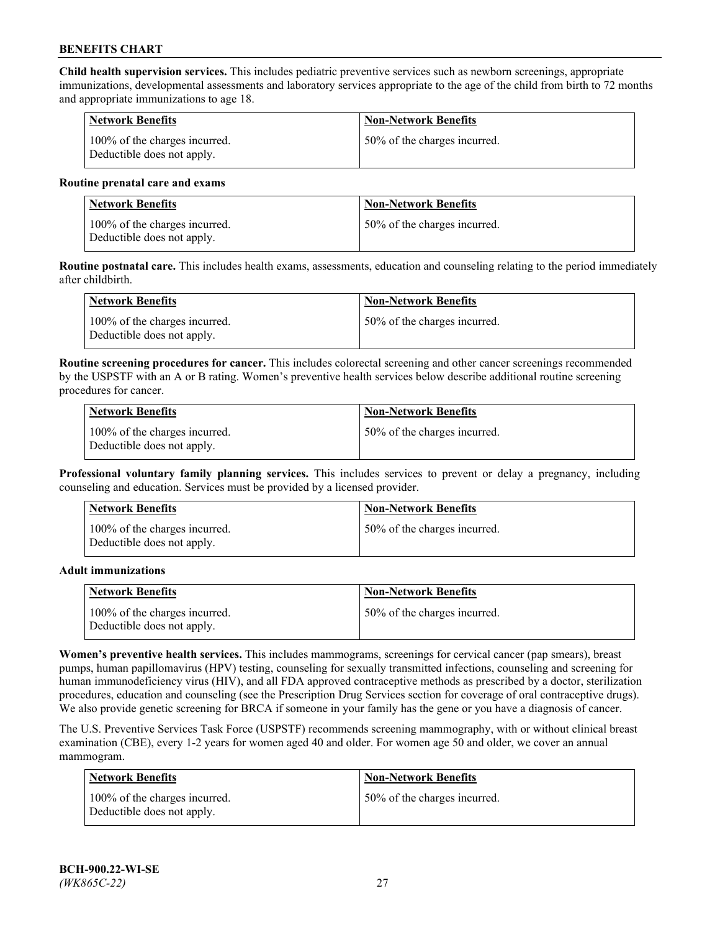**Child health supervision services.** This includes pediatric preventive services such as newborn screenings, appropriate immunizations, developmental assessments and laboratory services appropriate to the age of the child from birth to 72 months and appropriate immunizations to age 18.

| <b>Network Benefits</b>                                     | <b>Non-Network Benefits</b>  |
|-------------------------------------------------------------|------------------------------|
| 100% of the charges incurred.<br>Deductible does not apply. | 50% of the charges incurred. |

#### **Routine prenatal care and exams**

| Network Benefits                                            | <b>Non-Network Benefits</b>  |
|-------------------------------------------------------------|------------------------------|
| 100% of the charges incurred.<br>Deductible does not apply. | 50% of the charges incurred. |

**Routine postnatal care.** This includes health exams, assessments, education and counseling relating to the period immediately after childbirth.

| Network Benefits                                            | <b>Non-Network Benefits</b>  |
|-------------------------------------------------------------|------------------------------|
| 100% of the charges incurred.<br>Deductible does not apply. | 50% of the charges incurred. |

**Routine screening procedures for cancer.** This includes colorectal screening and other cancer screenings recommended by the USPSTF with an A or B rating. Women's preventive health services below describe additional routine screening procedures for cancer.

| <b>Network Benefits</b>                                     | <b>Non-Network Benefits</b>  |
|-------------------------------------------------------------|------------------------------|
| 100% of the charges incurred.<br>Deductible does not apply. | 50% of the charges incurred. |

**Professional voluntary family planning services.** This includes services to prevent or delay a pregnancy, including counseling and education. Services must be provided by a licensed provider.

| <b>Network Benefits</b>                                     | <b>Non-Network Benefits</b>  |
|-------------------------------------------------------------|------------------------------|
| 100% of the charges incurred.<br>Deductible does not apply. | 50% of the charges incurred. |

#### **Adult immunizations**

| <b>Network Benefits</b>                                     | <b>Non-Network Benefits</b>  |
|-------------------------------------------------------------|------------------------------|
| 100% of the charges incurred.<br>Deductible does not apply. | 50% of the charges incurred. |

**Women's preventive health services.** This includes mammograms, screenings for cervical cancer (pap smears), breast pumps, human papillomavirus (HPV) testing, counseling for sexually transmitted infections, counseling and screening for human immunodeficiency virus (HIV), and all FDA approved contraceptive methods as prescribed by a doctor, sterilization procedures, education and counseling (see the Prescription Drug Services section for coverage of oral contraceptive drugs). We also provide genetic screening for BRCA if someone in your family has the gene or you have a diagnosis of cancer.

The U.S. Preventive Services Task Force (USPSTF) recommends screening mammography, with or without clinical breast examination (CBE), every 1-2 years for women aged 40 and older. For women age 50 and older, we cover an annual mammogram.

| <b>Network Benefits</b>                                     | <b>Non-Network Benefits</b>  |
|-------------------------------------------------------------|------------------------------|
| 100% of the charges incurred.<br>Deductible does not apply. | 50% of the charges incurred. |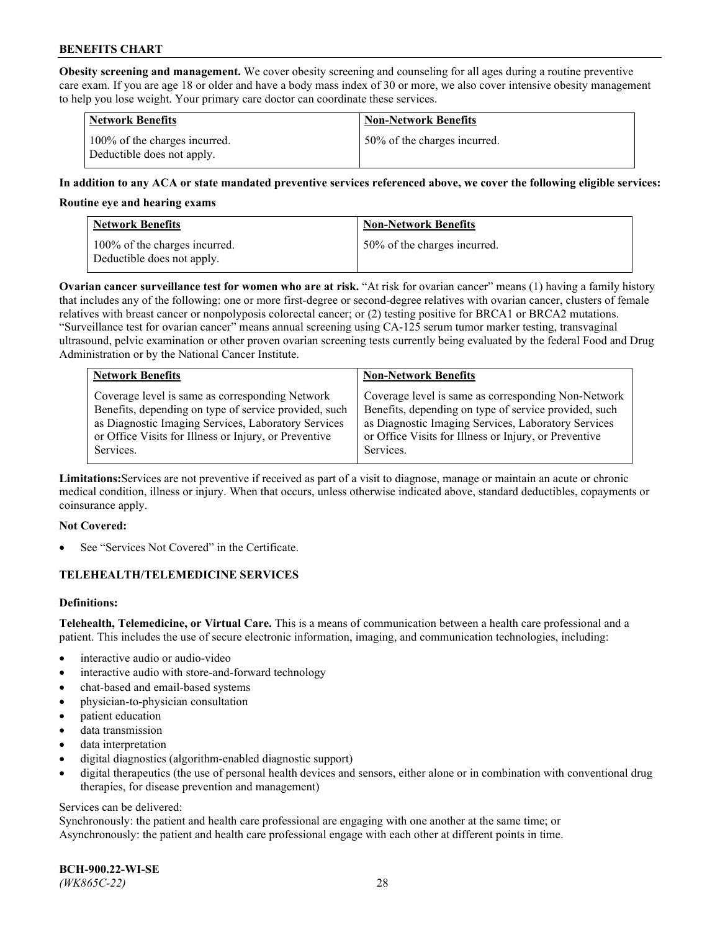**Obesity screening and management.** We cover obesity screening and counseling for all ages during a routine preventive care exam. If you are age 18 or older and have a body mass index of 30 or more, we also cover intensive obesity management to help you lose weight. Your primary care doctor can coordinate these services.

| <b>Network Benefits</b>                                     | <b>Non-Network Benefits</b>  |
|-------------------------------------------------------------|------------------------------|
| 100% of the charges incurred.<br>Deductible does not apply. | 50% of the charges incurred. |

## **In addition to any ACA or state mandated preventive services referenced above, we cover the following eligible services:**

#### **Routine eye and hearing exams**

| Network Benefits                                            | <b>Non-Network Benefits</b>  |
|-------------------------------------------------------------|------------------------------|
| 100% of the charges incurred.<br>Deductible does not apply. | 50% of the charges incurred. |

**Ovarian cancer surveillance test for women who are at risk.** "At risk for ovarian cancer" means (1) having a family history that includes any of the following: one or more first-degree or second-degree relatives with ovarian cancer, clusters of female relatives with breast cancer or nonpolyposis colorectal cancer; or (2) testing positive for BRCA1 or BRCA2 mutations. "Surveillance test for ovarian cancer" means annual screening using CA-125 serum tumor marker testing, transvaginal ultrasound, pelvic examination or other proven ovarian screening tests currently being evaluated by the federal Food and Drug Administration or by the National Cancer Institute.

| <b>Network Benefits</b>                               | <b>Non-Network Benefits</b>                           |
|-------------------------------------------------------|-------------------------------------------------------|
| Coverage level is same as corresponding Network       | Coverage level is same as corresponding Non-Network   |
| Benefits, depending on type of service provided, such | Benefits, depending on type of service provided, such |
| as Diagnostic Imaging Services, Laboratory Services   | as Diagnostic Imaging Services, Laboratory Services   |
| or Office Visits for Illness or Injury, or Preventive | or Office Visits for Illness or Injury, or Preventive |
| Services.                                             | Services.                                             |

**Limitations:**Services are not preventive if received as part of a visit to diagnose, manage or maintain an acute or chronic medical condition, illness or injury. When that occurs, unless otherwise indicated above, standard deductibles, copayments or coinsurance apply.

## **Not Covered:**

See "Services Not Covered" in the Certificate.

## **TELEHEALTH/TELEMEDICINE SERVICES**

## **Definitions:**

**Telehealth, Telemedicine, or Virtual Care.** This is a means of communication between a health care professional and a patient. This includes the use of secure electronic information, imaging, and communication technologies, including:

- interactive audio or audio-video
- interactive audio with store-and-forward technology
- chat-based and email-based systems
- physician-to-physician consultation
- patient education
- data transmission
- data interpretation
- digital diagnostics (algorithm-enabled diagnostic support)
- digital therapeutics (the use of personal health devices and sensors, either alone or in combination with conventional drug therapies, for disease prevention and management)

#### Services can be delivered:

Synchronously: the patient and health care professional are engaging with one another at the same time; or Asynchronously: the patient and health care professional engage with each other at different points in time.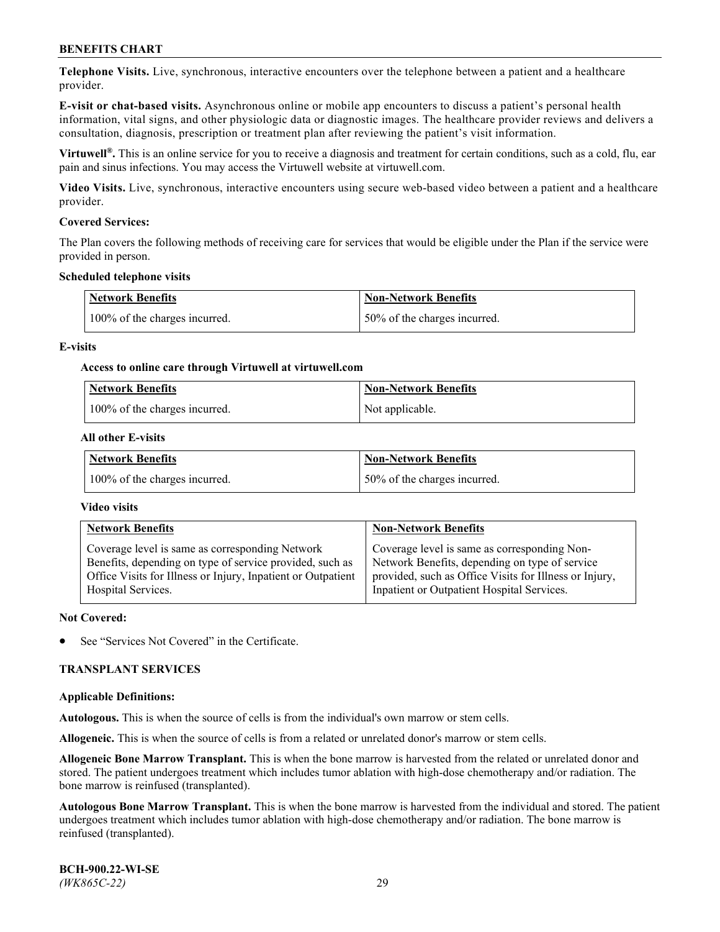**Telephone Visits.** Live, synchronous, interactive encounters over the telephone between a patient and a healthcare provider.

**E-visit or chat-based visits.** Asynchronous online or mobile app encounters to discuss a patient's personal health information, vital signs, and other physiologic data or diagnostic images. The healthcare provider reviews and delivers a consultation, diagnosis, prescription or treatment plan after reviewing the patient's visit information.

**Virtuwell®.** This is an online service for you to receive a diagnosis and treatment for certain conditions, such as a cold, flu, ear pain and sinus infections. You may access the Virtuwell website at [virtuwell.com.](https://www.virtuwell.com/)

**Video Visits.** Live, synchronous, interactive encounters using secure web-based video between a patient and a healthcare provider.

### **Covered Services:**

The Plan covers the following methods of receiving care for services that would be eligible under the Plan if the service were provided in person.

#### **Scheduled telephone visits**

| <b>Network Benefits</b>       | <b>Non-Network Benefits</b>  |
|-------------------------------|------------------------------|
| 100% of the charges incurred. | 50% of the charges incurred. |

### **E-visits**

### **Access to online care through Virtuwell at [virtuwell.com](https://www.virtuwell.com/)**

| Network Benefits              | <b>Non-Network Benefits</b> |
|-------------------------------|-----------------------------|
| 100% of the charges incurred. | Not applicable.             |

### **All other E-visits**

| Network Benefits              | <b>Non-Network Benefits</b>  |
|-------------------------------|------------------------------|
| 100% of the charges incurred. | 50% of the charges incurred. |

## **Video visits**

| <b>Network Benefits</b>                                      | <b>Non-Network Benefits</b>                            |
|--------------------------------------------------------------|--------------------------------------------------------|
| Coverage level is same as corresponding Network              | Coverage level is same as corresponding Non-           |
| Benefits, depending on type of service provided, such as     | Network Benefits, depending on type of service         |
| Office Visits for Illness or Injury, Inpatient or Outpatient | provided, such as Office Visits for Illness or Injury, |
| Hospital Services.                                           | Inpatient or Outpatient Hospital Services.             |

#### **Not Covered:**

See "Services Not Covered" in the Certificate.

## **TRANSPLANT SERVICES**

#### **Applicable Definitions:**

**Autologous.** This is when the source of cells is from the individual's own marrow or stem cells.

**Allogeneic.** This is when the source of cells is from a related or unrelated donor's marrow or stem cells.

**Allogeneic Bone Marrow Transplant.** This is when the bone marrow is harvested from the related or unrelated donor and stored. The patient undergoes treatment which includes tumor ablation with high-dose chemotherapy and/or radiation. The bone marrow is reinfused (transplanted).

**Autologous Bone Marrow Transplant.** This is when the bone marrow is harvested from the individual and stored. The patient undergoes treatment which includes tumor ablation with high-dose chemotherapy and/or radiation. The bone marrow is reinfused (transplanted).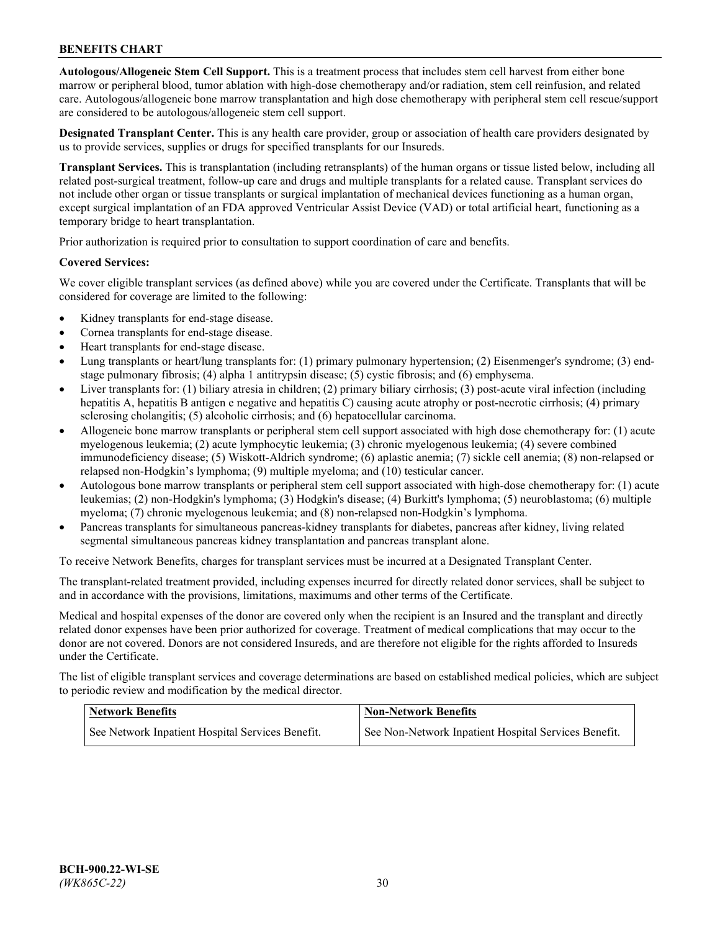**Autologous/Allogeneic Stem Cell Support.** This is a treatment process that includes stem cell harvest from either bone marrow or peripheral blood, tumor ablation with high-dose chemotherapy and/or radiation, stem cell reinfusion, and related care. Autologous/allogeneic bone marrow transplantation and high dose chemotherapy with peripheral stem cell rescue/support are considered to be autologous/allogeneic stem cell support.

**Designated Transplant Center.** This is any health care provider, group or association of health care providers designated by us to provide services, supplies or drugs for specified transplants for our Insureds.

**Transplant Services.** This is transplantation (including retransplants) of the human organs or tissue listed below, including all related post-surgical treatment, follow-up care and drugs and multiple transplants for a related cause. Transplant services do not include other organ or tissue transplants or surgical implantation of mechanical devices functioning as a human organ, except surgical implantation of an FDA approved Ventricular Assist Device (VAD) or total artificial heart, functioning as a temporary bridge to heart transplantation.

Prior authorization is required prior to consultation to support coordination of care and benefits.

### **Covered Services:**

We cover eligible transplant services (as defined above) while you are covered under the Certificate. Transplants that will be considered for coverage are limited to the following:

- Kidney transplants for end-stage disease.
- Cornea transplants for end-stage disease.
- Heart transplants for end-stage disease.
- Lung transplants or heart/lung transplants for: (1) primary pulmonary hypertension; (2) Eisenmenger's syndrome; (3) endstage pulmonary fibrosis; (4) alpha 1 antitrypsin disease; (5) cystic fibrosis; and (6) emphysema.
- Liver transplants for: (1) biliary atresia in children; (2) primary biliary cirrhosis; (3) post-acute viral infection (including hepatitis A, hepatitis B antigen e negative and hepatitis C) causing acute atrophy or post-necrotic cirrhosis; (4) primary sclerosing cholangitis; (5) alcoholic cirrhosis; and (6) hepatocellular carcinoma.
- Allogeneic bone marrow transplants or peripheral stem cell support associated with high dose chemotherapy for: (1) acute myelogenous leukemia; (2) acute lymphocytic leukemia; (3) chronic myelogenous leukemia; (4) severe combined immunodeficiency disease; (5) Wiskott-Aldrich syndrome; (6) aplastic anemia; (7) sickle cell anemia; (8) non-relapsed or relapsed non-Hodgkin's lymphoma; (9) multiple myeloma; and (10) testicular cancer.
- Autologous bone marrow transplants or peripheral stem cell support associated with high-dose chemotherapy for: (1) acute leukemias; (2) non-Hodgkin's lymphoma; (3) Hodgkin's disease; (4) Burkitt's lymphoma; (5) neuroblastoma; (6) multiple myeloma; (7) chronic myelogenous leukemia; and (8) non-relapsed non-Hodgkin's lymphoma.
- Pancreas transplants for simultaneous pancreas-kidney transplants for diabetes, pancreas after kidney, living related segmental simultaneous pancreas kidney transplantation and pancreas transplant alone.

To receive Network Benefits, charges for transplant services must be incurred at a Designated Transplant Center.

The transplant-related treatment provided, including expenses incurred for directly related donor services, shall be subject to and in accordance with the provisions, limitations, maximums and other terms of the Certificate.

Medical and hospital expenses of the donor are covered only when the recipient is an Insured and the transplant and directly related donor expenses have been prior authorized for coverage. Treatment of medical complications that may occur to the donor are not covered. Donors are not considered Insureds, and are therefore not eligible for the rights afforded to Insureds under the Certificate.

The list of eligible transplant services and coverage determinations are based on established medical policies, which are subject to periodic review and modification by the medical director.

| <b>Network Benefits</b>                          | <b>Non-Network Benefits</b>                          |
|--------------------------------------------------|------------------------------------------------------|
| See Network Inpatient Hospital Services Benefit. | See Non-Network Inpatient Hospital Services Benefit. |